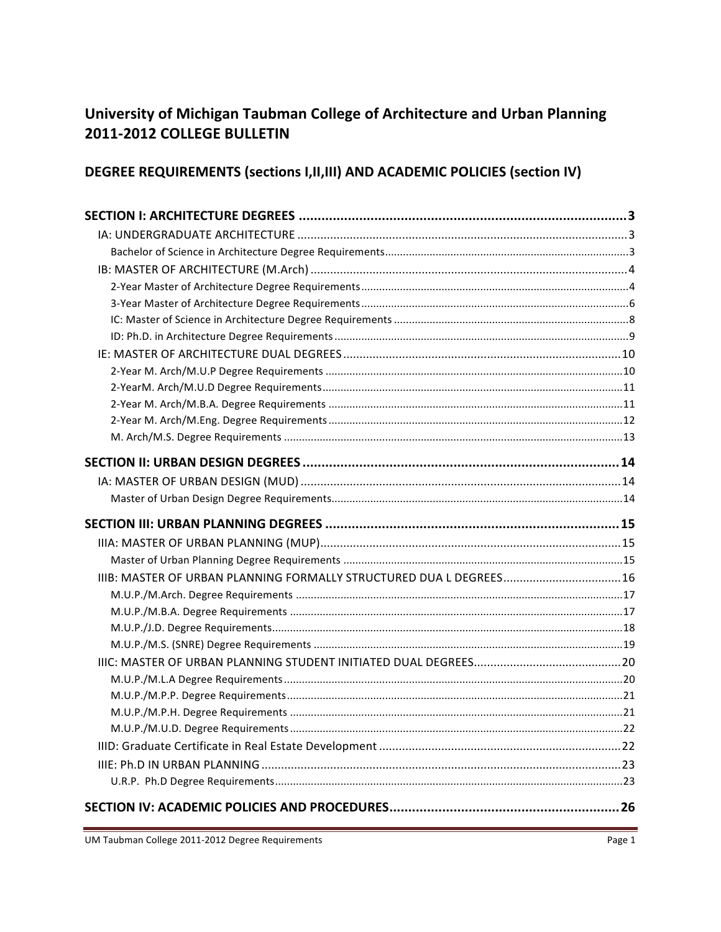# University of Michigan Taubman College of Architecture and Urban Planning 2011-2012 COLLEGE BULLETIN

# DEGREE REQUIREMENTS (sections I, II, III) AND ACADEMIC POLICIES (section IV)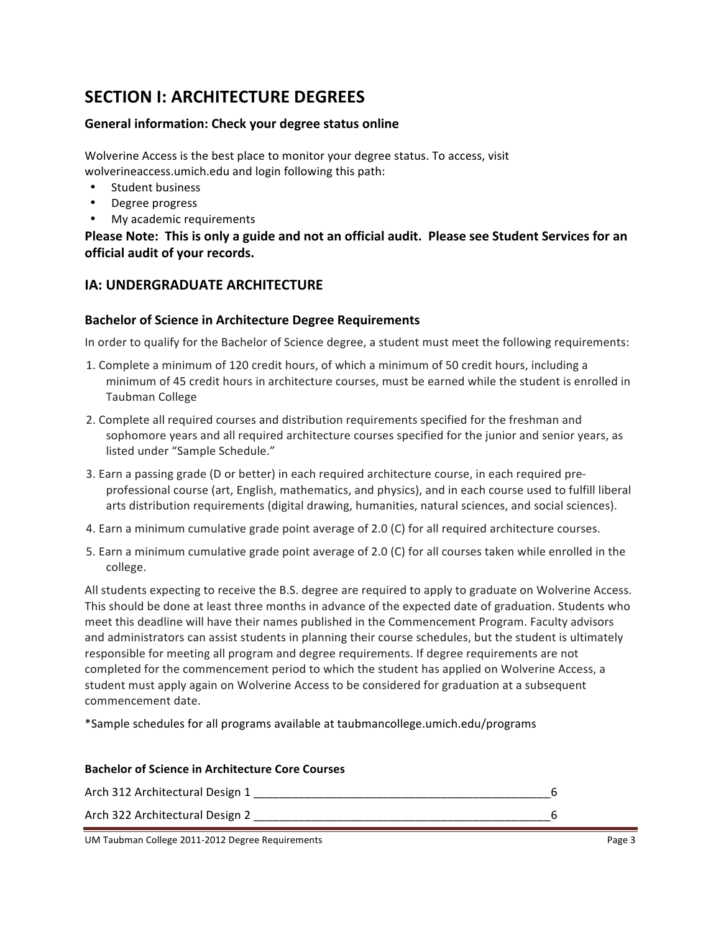# **SECTION I: ARCHITECTURE DEGREES**

## General information: Check your degree status online

Wolverine Access is the best place to monitor your degree status. To access, visit wolverineaccess.umich.edu and login following this path:

- Student business
- Degree progress
- My academic requirements

Please Note: This is only a guide and not an official audit. Please see Student Services for an **official audit of your records.** 

# **IA: UNDERGRADUATE ARCHITECTURE**

## **Bachelor of Science in Architecture Degree Requirements**

In order to qualify for the Bachelor of Science degree, a student must meet the following requirements:

- 1. Complete a minimum of 120 credit hours, of which a minimum of 50 credit hours, including a minimum of 45 credit hours in architecture courses, must be earned while the student is enrolled in Taubman#College
- 2. Complete all required courses and distribution requirements specified for the freshman and sophomore years and all required architecture courses specified for the junior and senior years, as listed under "Sample Schedule."
- 3. Earn a passing grade (D or better) in each required architecture course, in each required preprofessional course (art, English, mathematics, and physics), and in each course used to fulfill liberal arts distribution requirements (digital drawing, humanities, natural sciences, and social sciences).
- 4. Earn a minimum cumulative grade point average of 2.0 (C) for all required architecture courses.
- 5. Earn a minimum cumulative grade point average of 2.0 (C) for all courses taken while enrolled in the college.

All students expecting to receive the B.S. degree are required to apply to graduate on Wolverine Access. This should be done at least three months in advance of the expected date of graduation. Students who meet this deadline will have their names published in the Commencement Program. Faculty advisors and administrators can assist students in planning their course schedules, but the student is ultimately responsible for meeting all program and degree requirements. If degree requirements are not completed for the commencement period to which the student has applied on Wolverine Access, a student must apply again on Wolverine Access to be considered for graduation at a subsequent commencement date.

\*Sample schedules for all programs available at taubmancollege.umich.edu/programs

| <b>Bachelor of Science in Architecture Core Courses</b> |  |
|---------------------------------------------------------|--|
| Arch 312 Architectural Design 1                         |  |
| Arch 322 Architectural Design 2                         |  |

UM Taubman College 2011-2012 Degree Requirements **Page 3** All 2013 of the Second Page 3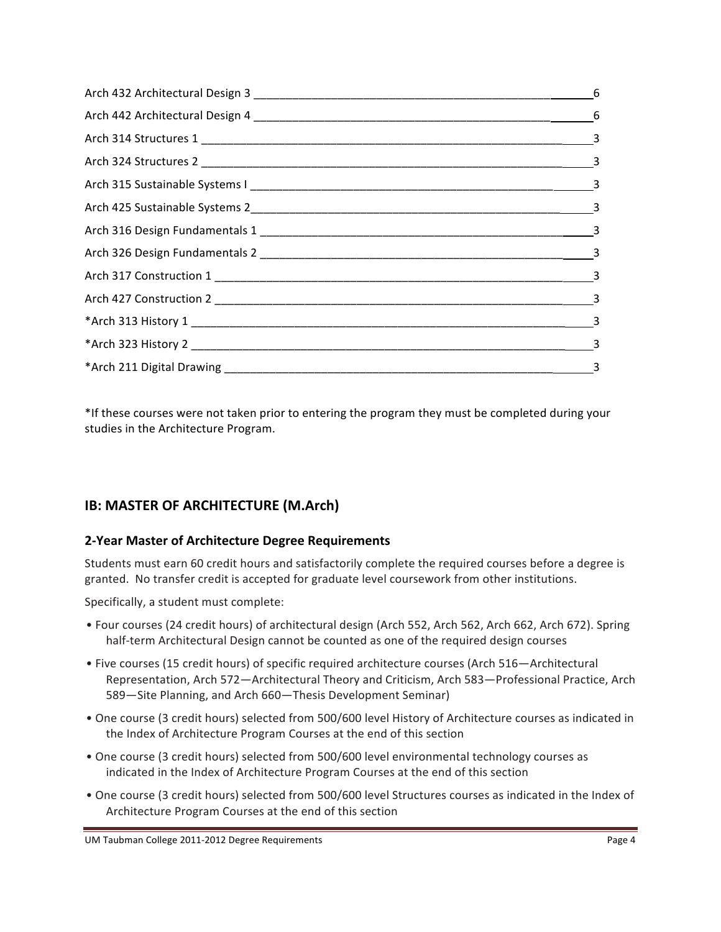| $\frac{3}{2}$ |
|---------------|

\*If these courses were not taken prior to entering the program they must be completed during your studies in the Architecture Program.

# **IB: MASTER OF ARCHITECTURE (M.Arch)**

## **2>Year Master!of!Architecture Degree!Requirements**

Students must earn 60 credit hours and satisfactorily complete the required courses before a degree is granted. No transfer credit is accepted for graduate level coursework from other institutions.

Specifically, a student must complete:

- Four courses (24 credit hours) of architectural design (Arch 552, Arch 562, Arch 662, Arch 672). Spring half-term Architectural Design cannot be counted as one of the required design courses
- Five courses (15 credit hours) of specific required architecture courses (Arch 516—Architectural Representation, Arch 572—Architectural Theory and Criticism, Arch 583—Professional Practice, Arch 589—Site Planning, and Arch 660—Thesis Development Seminar)
- One course (3 credit hours) selected from 500/600 level History of Architecture courses as indicated in the Index of Architecture Program Courses at the end of this section
- One course (3 credit hours) selected from 500/600 level environmental technology courses as indicated in the Index of Architecture Program Courses at the end of this section
- One course (3 credit hours) selected from 500/600 level Structures courses as indicated in the Index of Architecture Program Courses at the end of this section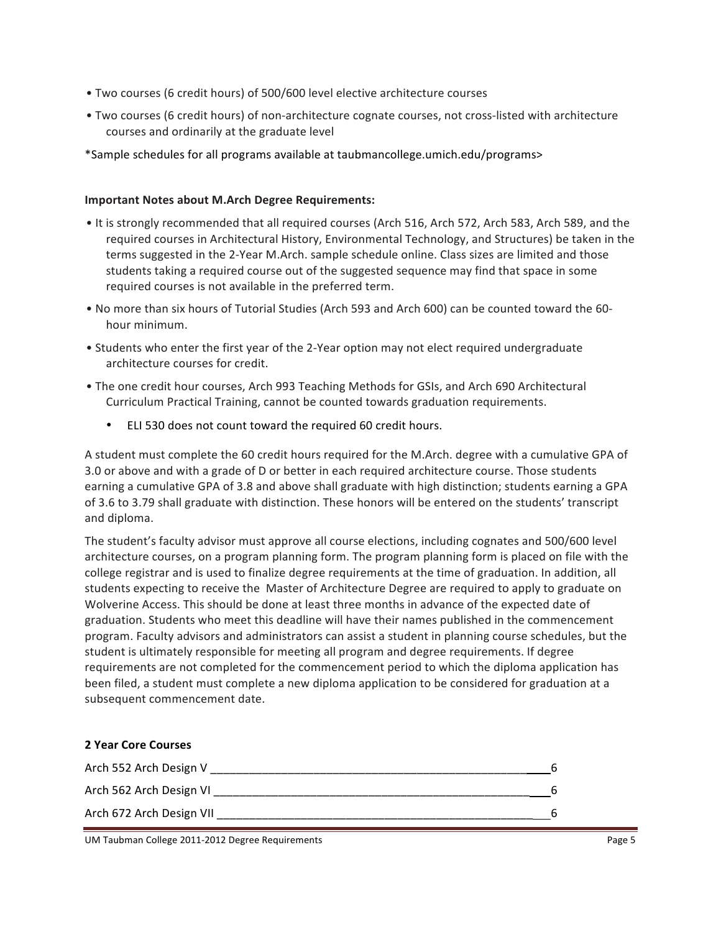- Two courses (6 credit hours) of 500/600 level elective architecture courses
- Two courses (6 credit hours) of non-architecture cognate courses, not cross-listed with architecture courses and ordinarily at the graduate level
- \*Sample schedules for all programs available at taubmancollege.umich.edu/programs>

#### **Important Notes about M.Arch Degree Requirements:**

- It is strongly recommended that all required courses (Arch 516, Arch 572, Arch 583, Arch 589, and the required courses in Architectural History, Environmental Technology, and Structures) be taken in the terms suggested in the 2-Year M.Arch. sample schedule online. Class sizes are limited and those students taking a required course out of the suggested sequence may find that space in some required courses is not available in the preferred term.
- No more than six hours of Tutorial Studies (Arch 593 and Arch 600) can be counted toward the 60hour minimum.
- Students who enter the first year of the 2-Year option may not elect required undergraduate architecture courses for credit.
- The one credit hour courses, Arch 993 Teaching Methods for GSIs, and Arch 690 Architectural Curriculum Practical Training, cannot be counted towards graduation requirements.
	- ELI 530 does not count toward the required 60 credit hours.

A student must complete the 60 credit hours required for the M.Arch. degree with a cumulative GPA of 3.0 or above and with a grade of D or better in each required architecture course. Those students earning a cumulative GPA of 3.8 and above shall graduate with high distinction; students earning a GPA of 3.6 to 3.79 shall graduate with distinction. These honors will be entered on the students' transcript and diploma.

The student's faculty advisor must approve all course elections, including cognates and 500/600 level architecture courses, on a program planning form. The program planning form is placed on file with the college registrar and is used to finalize degree requirements at the time of graduation. In addition, all students expecting to receive the Master of Architecture Degree are required to apply to graduate on Wolverine Access. This should be done at least three months in advance of the expected date of graduation. Students who meet this deadline will have their names published in the commencement program. Faculty advisors and administrators can assist a student in planning course schedules, but the student is ultimately responsible for meeting all program and degree requirements. If degree requirements are not completed for the commencement period to which the diploma application has been filed, a student must complete a new diploma application to be considered for graduation at a subsequent commencement date.

| <b>2 Year Core Courses</b> |   |
|----------------------------|---|
| Arch 552 Arch Design V     |   |
| Arch 562 Arch Design VI    | 6 |
| Arch 672 Arch Design VII   | 6 |

UM Taubman College 2011-2012 Degree Requirements **Page 5** Page 5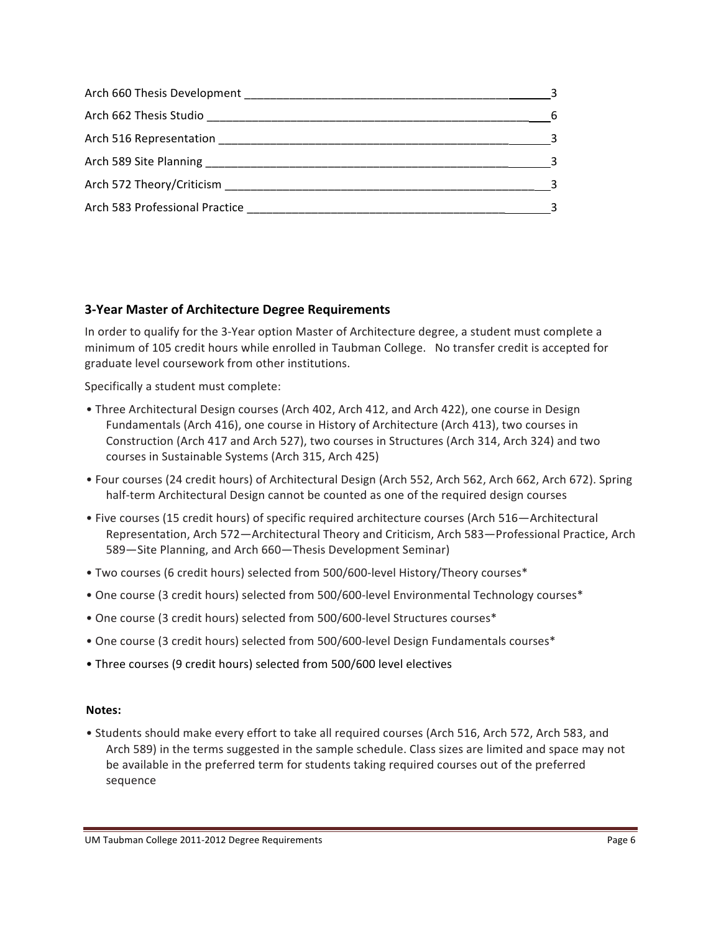|                                                                                                               | - 6 |
|---------------------------------------------------------------------------------------------------------------|-----|
| Arch 516 Representation Manual Arch 516 Representation                                                        | - 3 |
|                                                                                                               | ્વ  |
| Arch 572 Theory/Criticism Manual Manual Manual Manual Manual Manual Manual Manual Manual Manual Manual Manual |     |
|                                                                                                               |     |

## **3>Year Master!of!Architecture!Degree!Requirements**

In order to qualify for the 3-Year option Master of Architecture degree, a student must complete a minimum of 105 credit hours while enrolled in Taubman College. No transfer credit is accepted for graduate level coursework from other institutions.

Specifically a student must complete:

- Three Architectural Design courses (Arch 402, Arch 412, and Arch 422), one course in Design Fundamentals (Arch 416), one course in History of Architecture (Arch 413), two courses in Construction (Arch 417 and Arch 527), two courses in Structures (Arch 314, Arch 324) and two courses in Sustainable Systems (Arch 315, Arch 425)
- Four courses (24 credit hours) of Architectural Design (Arch 552, Arch 562, Arch 662, Arch 672). Spring half-term Architectural Design cannot be counted as one of the required design courses
- Five courses (15 credit hours) of specific required architecture courses (Arch 516—Architectural Representation, Arch 572—Architectural Theory and Criticism, Arch 583—Professional Practice, Arch 589-Site Planning, and Arch 660-Thesis Development Seminar)
- Two courses (6 credit hours) selected from 500/600-level History/Theory courses\*
- One course (3 credit hours) selected from 500/600-level Environmental Technology courses\*
- One course (3 credit hours) selected from 500/600-level Structures courses\*
- One course (3 credit hours) selected from 500/600-level Design Fundamentals courses\*
- Three courses (9 credit hours) selected from 500/600 level electives

#### **Notes:**

• Students should make every effort to take all required courses (Arch 516, Arch 572, Arch 583, and Arch 589) in the terms suggested in the sample schedule. Class sizes are limited and space may not be available in the preferred term for students taking required courses out of the preferred sequence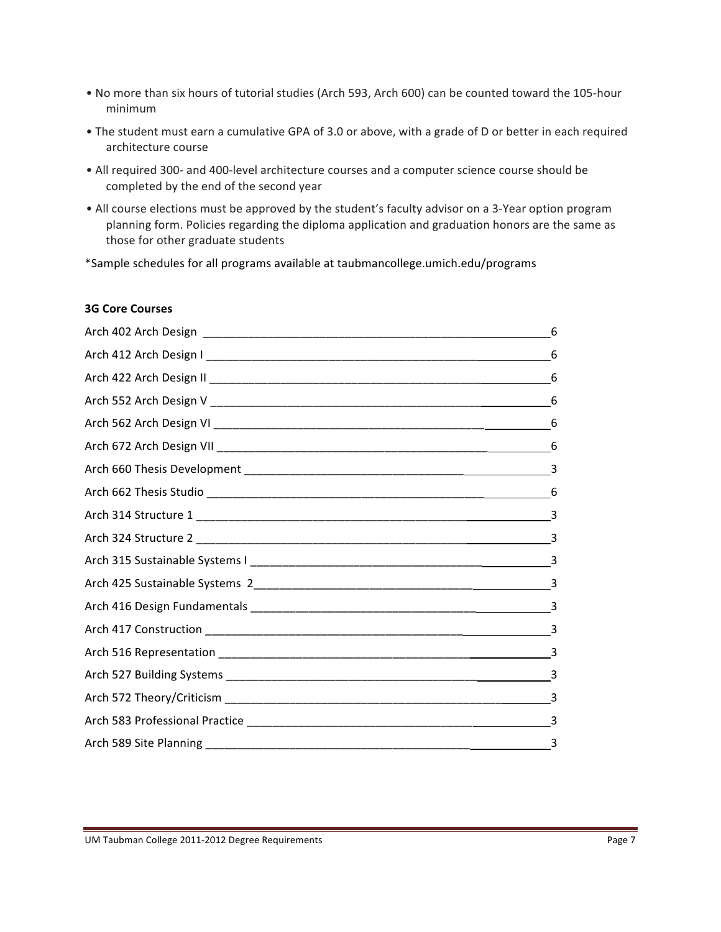- No more than six hours of tutorial studies (Arch 593, Arch 600) can be counted toward the 105-hour minimum#
- The student must earn a cumulative GPA of 3.0 or above, with a grade of D or better in each required architecture course
- All required 300- and 400-level architecture courses and a computer science course should be completed by the end of the second year
- All course elections must be approved by the student's faculty advisor on a 3-Year option program planning form. Policies regarding the diploma application and graduation honors are the same as those for other graduate students

\*Sample schedules for all programs available at taubmancollege.umich.edu/programs

#### **3G Core Courses**

| 6 |
|---|
| 6 |
| 6 |
| 6 |
| 6 |
| 6 |
|   |
|   |
|   |
|   |
|   |
|   |
|   |
|   |
|   |
|   |
|   |
|   |
|   |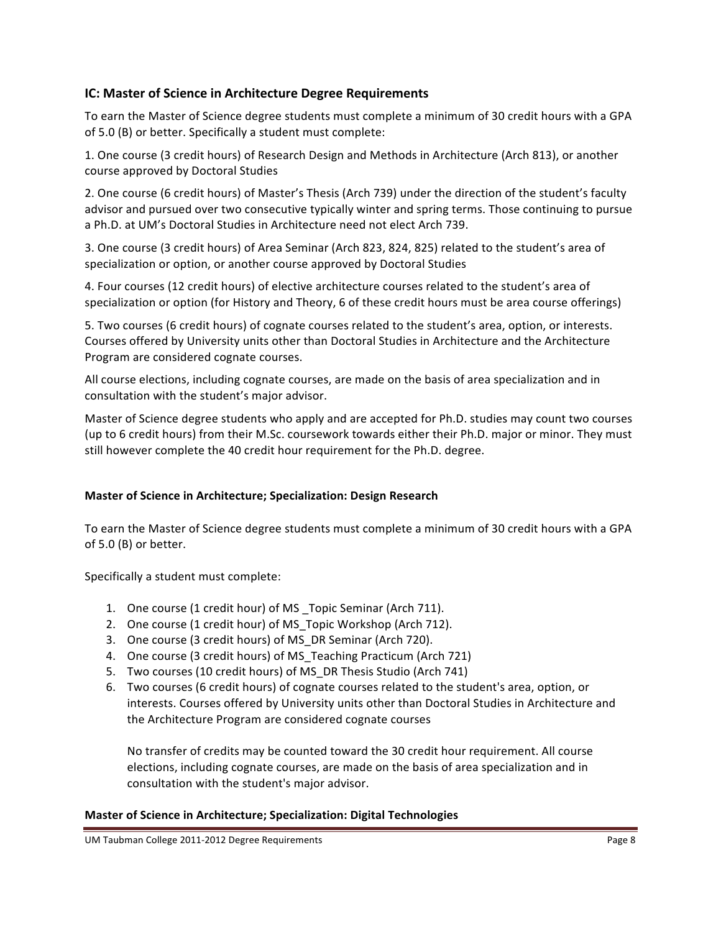## **IC: Master of Science in Architecture Degree Requirements**

To earn the Master of Science degree students must complete a minimum of 30 credit hours with a GPA of 5.0 (B) or better. Specifically a student must complete:

1. One course (3 credit hours) of Research Design and Methods in Architecture (Arch 813), or another course approved by Doctoral Studies

2. One course (6 credit hours) of Master's Thesis (Arch 739) under the direction of the student's faculty advisor and pursued over two consecutive typically winter and spring terms. Those continuing to pursue a Ph.D. at UM's Doctoral Studies in Architecture need not elect Arch 739.

3. One course (3 credit hours) of Area Seminar (Arch 823, 824, 825) related to the student's area of specialization or option, or another course approved by Doctoral Studies

4. Four courses (12 credit hours) of elective architecture courses related to the student's area of specialization or option (for History and Theory, 6 of these credit hours must be area course offerings)

5. Two courses (6 credit hours) of cognate courses related to the student's area, option, or interests. Courses offered by University units other than Doctoral Studies in Architecture and the Architecture Program are considered cognate courses.

All course elections, including cognate courses, are made on the basis of area specialization and in consultation with the student's major advisor.

Master of Science degree students who apply and are accepted for Ph.D. studies may count two courses (up to 6 credit hours) from their M.Sc. coursework towards either their Ph.D. major or minor. They must still however complete the 40 credit hour requirement for the Ph.D. degree.

## **Master of Science in Architecture; Specialization: Design Research**

To earn the Master of Science degree students must complete a minimum of 30 credit hours with a GPA of  $5.0$  (B) or better.

Specifically a student must complete:

- 1. One course (1 credit hour) of MS \_Topic Seminar (Arch 711).
- 2. One course (1 credit hour) of MS Topic Workshop (Arch 712).
- 3. One course (3 credit hours) of MS\_DR Seminar (Arch 720).
- 4. One course (3 credit hours) of MS\_Teaching Practicum (Arch 721)
- 5. Two courses (10 credit hours) of MS\_DR Thesis Studio (Arch 741)
- 6. Two courses (6 credit hours) of cognate courses related to the student's area, option, or interests. Courses offered by University units other than Doctoral Studies in Architecture and the Architecture Program are considered cognate courses

No transfer of credits may be counted toward the 30 credit hour requirement. All course elections, including cognate courses, are made on the basis of area specialization and in consultation with the student's major advisor.

#### **Master of Science in Architecture; Specialization: Digital Technologies**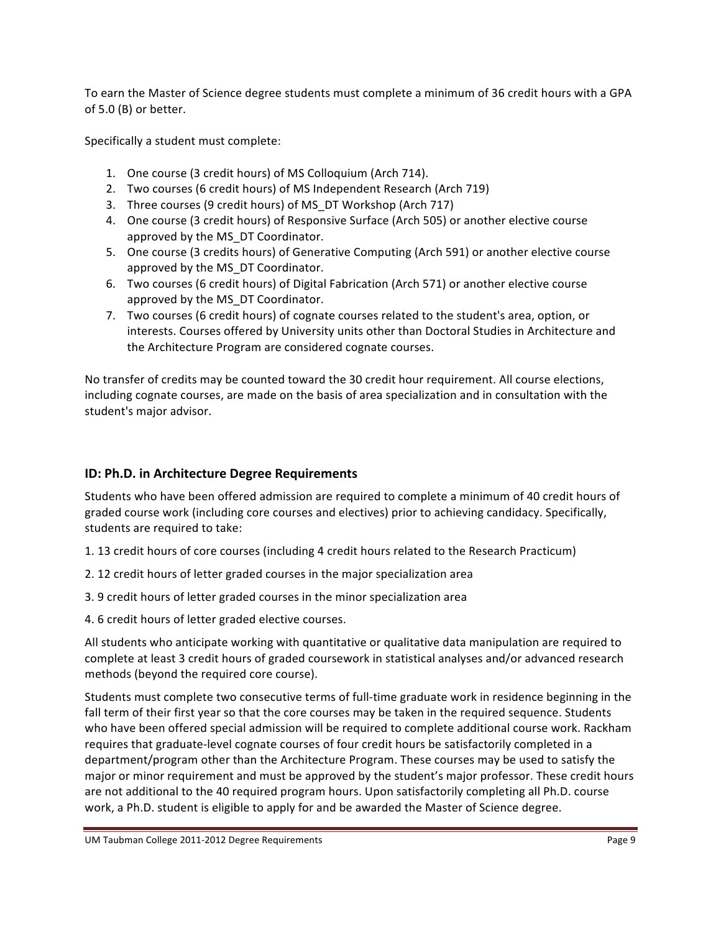To earn the Master of Science degree students must complete a minimum of 36 credit hours with a GPA of  $5.0$  (B) or better.

Specifically a student must complete:

- 1. One course (3 credit hours) of MS Colloquium (Arch 714).
- 2. Two courses (6 credit hours) of MS Independent Research (Arch 719)
- 3. Three courses (9 credit hours) of MS\_DT Workshop (Arch 717)
- 4. One course (3 credit hours) of Responsive Surface (Arch 505) or another elective course approved by the MS DT Coordinator.
- 5. One course (3 credits hours) of Generative Computing (Arch 591) or another elective course approved by the MS DT Coordinator.
- 6. Two courses (6 credit hours) of Digital Fabrication (Arch 571) or another elective course approved by the MS DT Coordinator.
- 7. Two courses (6 credit hours) of cognate courses related to the student's area, option, or interests. Courses offered by University units other than Doctoral Studies in Architecture and the Architecture Program are considered cognate courses.

No transfer of credits may be counted toward the 30 credit hour requirement. All course elections, including cognate courses, are made on the basis of area specialization and in consultation with the student's major advisor.

# **ID: Ph.D. in Architecture Degree Requirements**

Students who have been offered admission are required to complete a minimum of 40 credit hours of graded course work (including core courses and electives) prior to achieving candidacy. Specifically, students are required to take:

- 1. 13 credit hours of core courses (including 4 credit hours related to the Research Practicum)
- 2. 12 credit hours of letter graded courses in the major specialization area
- 3. 9 credit hours of letter graded courses in the minor specialization area
- 4. 6 credit hours of letter graded elective courses.

All students who anticipate working with quantitative or qualitative data manipulation are required to complete at least 3 credit hours of graded coursework in statistical analyses and/or advanced research methods (beyond the required core course).

Students must complete two consecutive terms of full-time graduate work in residence beginning in the fall term of their first year so that the core courses may be taken in the required sequence. Students who have been offered special admission will be required to complete additional course work. Rackham requires that graduate-level cognate courses of four credit hours be satisfactorily completed in a department/program other than the Architecture Program. These courses may be used to satisfy the major or minor requirement and must be approved by the student's major professor. These credit hours are not additional to the 40 required program hours. Upon satisfactorily completing all Ph.D. course work, a Ph.D. student is eligible to apply for and be awarded the Master of Science degree.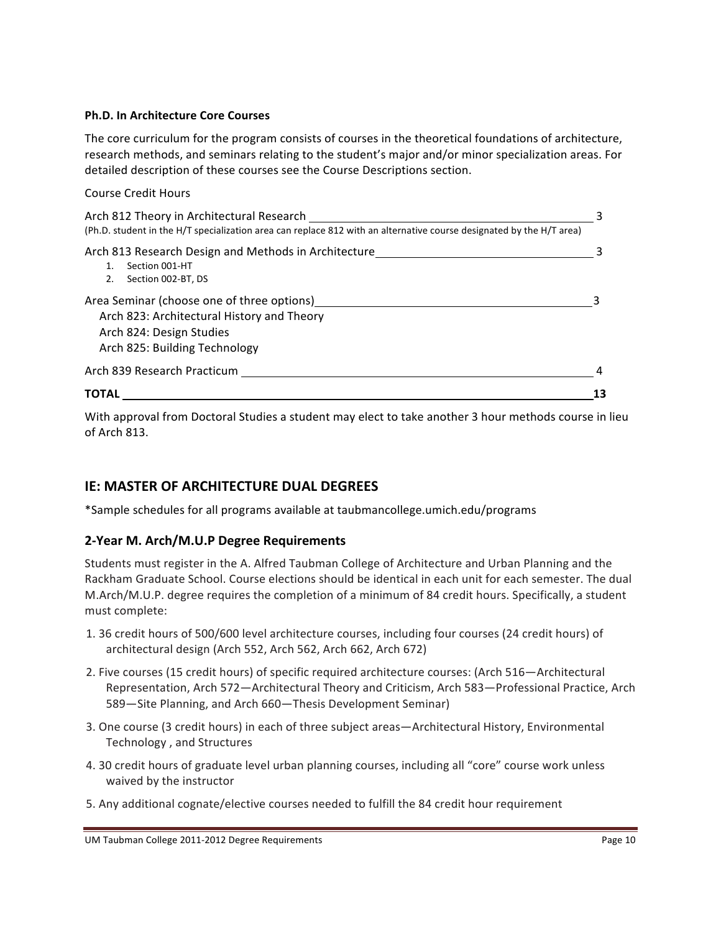#### **Ph.D. In Architecture Core Courses**

The core curriculum for the program consists of courses in the theoretical foundations of architecture, research methods, and seminars relating to the student's major and/or minor specialization areas. For detailed description of these courses see the Course Descriptions section.

#### Course Credit Hours

| Arch 812 Theory in Architectural Research<br>(Ph.D. student in the H/T specialization area can replace 812 with an alternative course designated by the H/T area) | З  |
|-------------------------------------------------------------------------------------------------------------------------------------------------------------------|----|
| Arch 813 Research Design and Methods in Architecture<br>Section 001-HT<br>Section 002-BT, DS<br>2.                                                                |    |
| Area Seminar (choose one of three options)<br>Arch 823: Architectural History and Theory<br>Arch 824: Design Studies<br>Arch 825: Building Technology             |    |
| Arch 839 Research Practicum                                                                                                                                       |    |
| ΤΟΤΑΙ                                                                                                                                                             | 13 |

With approval from Doctoral Studies a student may elect to take another 3 hour methods course in lieu of Arch 813.

## **IE: MASTER OF ARCHITECTURE DUAL DEGREES**

\*Sample#schedules#for#all#programs#available#at#taubmancollege.umich.edu/programs

#### **2>Year!M.!Arch/M.U.P!Degree!Requirements**

Students must register in the A. Alfred Taubman College of Architecture and Urban Planning and the Rackham Graduate School. Course elections should be identical in each unit for each semester. The dual M.Arch/M.U.P. degree requires the completion of a minimum of 84 credit hours. Specifically, a student must complete:

- 1. 36 credit hours of 500/600 level architecture courses, including four courses (24 credit hours) of architectural design (Arch 552, Arch 562, Arch 662, Arch 672)
- 2. Five courses (15 credit hours) of specific required architecture courses: (Arch 516—Architectural Representation, Arch 572—Architectural Theory and Criticism, Arch 583—Professional Practice, Arch 589—Site Planning, and Arch 660—Thesis Development Seminar)
- 3. One course (3 credit hours) in each of three subject areas—Architectural History, Environmental Technology, and Structures
- 4. 30 credit hours of graduate level urban planning courses, including all "core" course work unless waived by the instructor
- 5. Any additional cognate/elective courses needed to fulfill the 84 credit hour requirement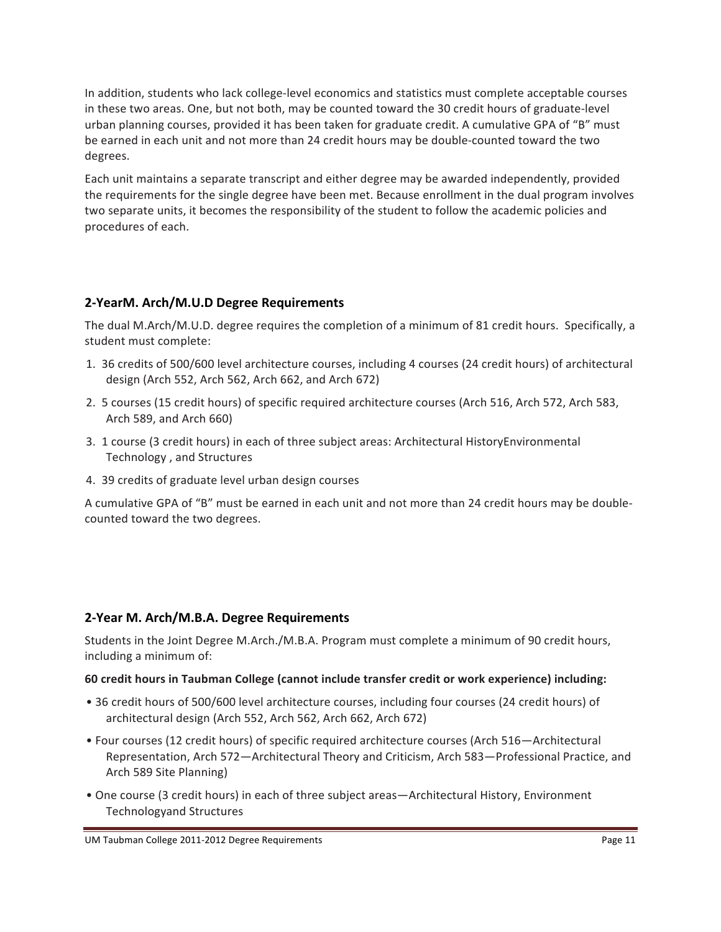In addition, students who lack college-level economics and statistics must complete acceptable courses in these two areas. One, but not both, may be counted toward the 30 credit hours of graduate-level urban planning courses, provided it has been taken for graduate credit. A cumulative GPA of "B" must be earned in each unit and not more than 24 credit hours may be double-counted toward the two degrees.

Each unit maintains a separate transcript and either degree may be awarded independently, provided the requirements for the single degree have been met. Because enrollment in the dual program involves two separate units, it becomes the responsibility of the student to follow the academic policies and procedures of each.

## **2>YearM.!Arch/M.U.D!Degree!Requirements**

The dual M.Arch/M.U.D. degree requires the completion of a minimum of 81 credit hours. Specifically, a student must complete:

- 1. 36 credits of 500/600 level architecture courses, including 4 courses (24 credit hours) of architectural design (Arch 552, Arch 562, Arch 662, and Arch 672)
- 2. 5 courses (15 credit hours) of specific required architecture courses (Arch 516, Arch 572, Arch 583, Arch 589, and Arch 660)
- 3. 1 course (3 credit hours) in each of three subject areas: Architectural HistoryEnvironmental Technology, and Structures
- 4. 39 credits of graduate level urban design courses

A cumulative GPA of "B" must be earned in each unit and not more than 24 credit hours may be doublecounted toward the two degrees.

## 2-Year M. Arch/M.B.A. Degree Requirements

Students in the Joint Degree M.Arch./M.B.A. Program must complete a minimum of 90 credit hours, including a minimum of:

#### 60 credit hours in Taubman College (cannot include transfer credit or work experience) including:

- 36 credit hours of 500/600 level architecture courses, including four courses (24 credit hours) of architectural design (Arch 552, Arch 562, Arch 662, Arch 672)
- Four courses (12 credit hours) of specific required architecture courses (Arch 516—Architectural Representation, Arch 572—Architectural Theory and Criticism, Arch 583—Professional Practice, and Arch 589 Site Planning)
- One course (3 credit hours) in each of three subject areas—Architectural History, Environment Technologyand Structures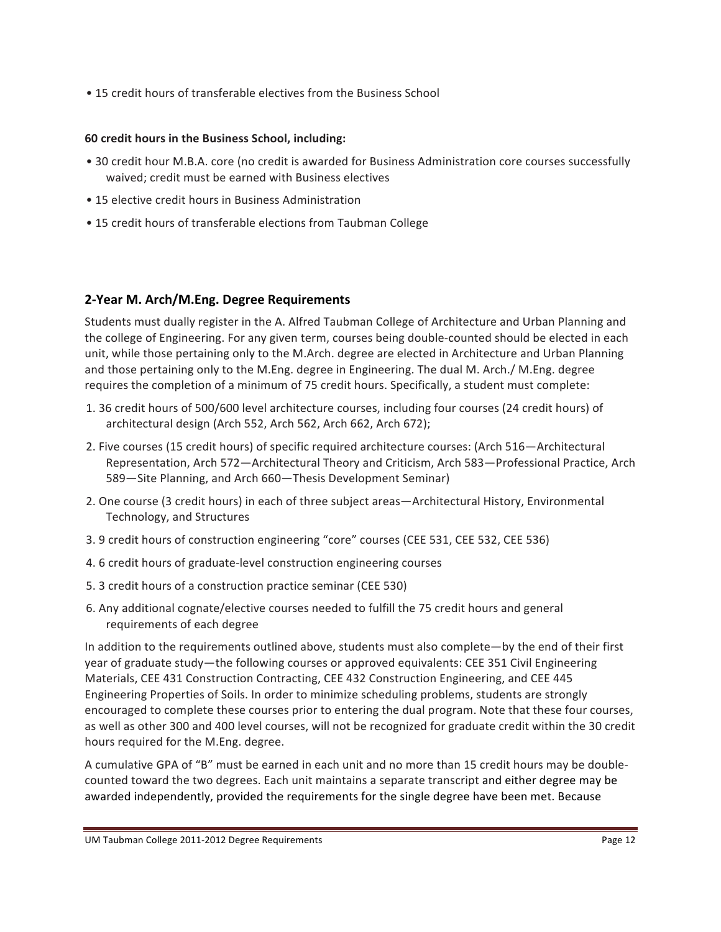• 15 credit hours of transferable electives from the Business School

### **60 credit hours in the Business School, including:**

- 30 credit hour M.B.A. core (no credit is awarded for Business Administration core courses successfully waived; credit must be earned with Business electives
- 15 elective credit hours in Business Administration
- 15 credit hours of transferable elections from Taubman College

## **2>Year!M.!Arch/M.Eng.!Degree!Requirements**

Students must dually register in the A. Alfred Taubman College of Architecture and Urban Planning and the college of Engineering. For any given term, courses being double-counted should be elected in each unit, while those pertaining only to the M.Arch. degree are elected in Architecture and Urban Planning and those pertaining only to the M.Eng. degree in Engineering. The dual M. Arch./ M.Eng. degree requires the completion of a minimum of 75 credit hours. Specifically, a student must complete:

- 1. 36 credit hours of 500/600 level architecture courses, including four courses (24 credit hours) of architectural design (Arch 552, Arch 562, Arch 662, Arch 672);
- 2. Five courses (15 credit hours) of specific required architecture courses: (Arch 516—Architectural Representation, Arch 572—Architectural Theory and Criticism, Arch 583—Professional Practice, Arch 589-Site Planning, and Arch 660-Thesis Development Seminar)
- 2. One course (3 credit hours) in each of three subject areas—Architectural History, Environmental Technology, and Structures
- 3. 9 credit hours of construction engineering "core" courses (CEE 531, CEE 532, CEE 536)
- 4. 6 credit hours of graduate-level construction engineering courses
- 5. 3 credit hours of a construction practice seminar (CEE 530)
- 6. Any additional cognate/elective courses needed to fulfill the 75 credit hours and general requirements of each degree

In addition to the requirements outlined above, students must also complete—by the end of their first year of graduate study—the following courses or approved equivalents: CEE 351 Civil Engineering Materials, CEE 431 Construction Contracting, CEE 432 Construction Engineering, and CEE 445 Engineering Properties of Soils. In order to minimize scheduling problems, students are strongly encouraged to complete these courses prior to entering the dual program. Note that these four courses, as well as other 300 and 400 level courses, will not be recognized for graduate credit within the 30 credit hours required for the M.Eng. degree.

A cumulative GPA of "B" must be earned in each unit and no more than 15 credit hours may be doublecounted toward the two degrees. Each unit maintains a separate transcript and either degree may be awarded independently, provided the requirements for the single degree have been met. Because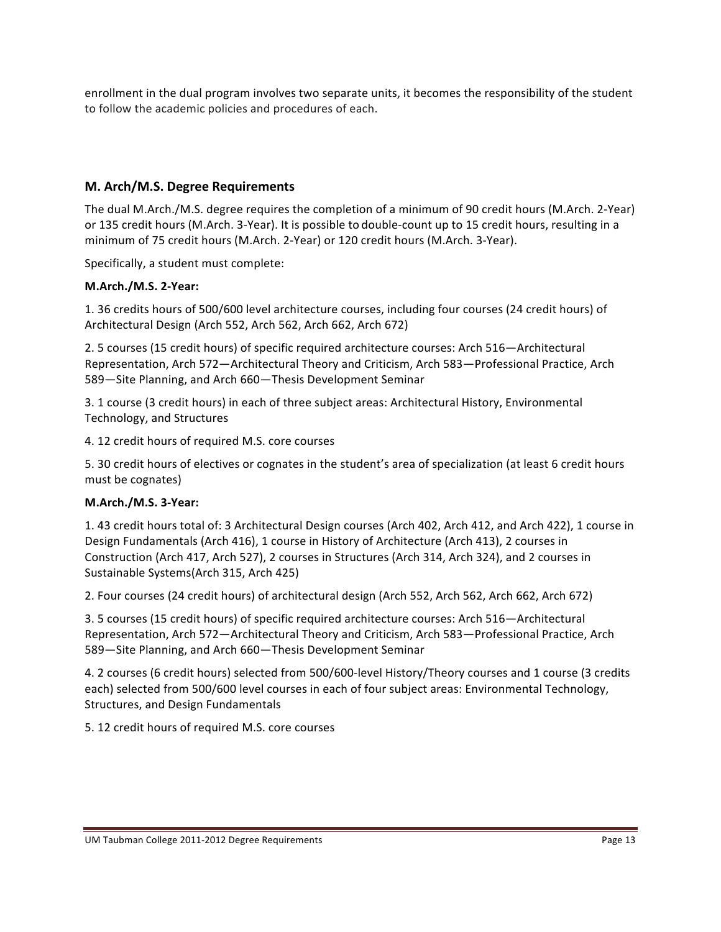enrollment in the dual program involves two separate units, it becomes the responsibility of the student to follow the academic policies and procedures of each.

## **M. Arch/M.S. Degree Requirements**

The dual M.Arch./M.S. degree requires the completion of a minimum of 90 credit hours (M.Arch. 2-Year) or 135 credit hours (M.Arch. 3-Year). It is possible to double-count up to 15 credit hours, resulting in a minimum of 75 credit hours (M.Arch. 2-Year) or 120 credit hours (M.Arch. 3-Year).

Specifically, a student must complete:

## **M.Arch./M.S.!2>Year:**

1. 36 credits hours of 500/600 level architecture courses, including four courses (24 credit hours) of Architectural Design (Arch 552, Arch 562, Arch 662, Arch 672)

2. 5 courses (15 credit hours) of specific required architecture courses: Arch 516—Architectural Representation, Arch 572—Architectural Theory and Criticism, Arch 583—Professional Practice, Arch 589—Site Planning, and Arch 660—Thesis Development Seminar

3. 1 course (3 credit hours) in each of three subject areas: Architectural History, Environmental Technology, and Structures

4. 12 credit hours of required M.S. core courses

5. 30 credit hours of electives or cognates in the student's area of specialization (at least 6 credit hours must be cognates)

## **M.Arch./M.S. 3-Year:**

1. 43 credit hours total of: 3 Architectural Design courses (Arch 402, Arch 412, and Arch 422), 1 course in Design Fundamentals (Arch 416), 1 course in History of Architecture (Arch 413), 2 courses in Construction (Arch 417, Arch 527), 2 courses in Structures (Arch 314, Arch 324), and 2 courses in Sustainable Systems(Arch 315, Arch 425)

2. Four courses (24 credit hours) of architectural design (Arch 552, Arch 562, Arch 662, Arch 672)

3. 5 courses (15 credit hours) of specific required architecture courses: Arch 516—Architectural Representation, Arch 572—Architectural Theory and Criticism, Arch 583—Professional Practice, Arch 589—Site Planning, and Arch 660—Thesis Development Seminar

4. 2 courses (6 credit hours) selected from 500/600-level History/Theory courses and 1 course (3 credits each) selected from 500/600 level courses in each of four subject areas: Environmental Technology, Structures, and Design Fundamentals

5. 12 credit hours of required M.S. core courses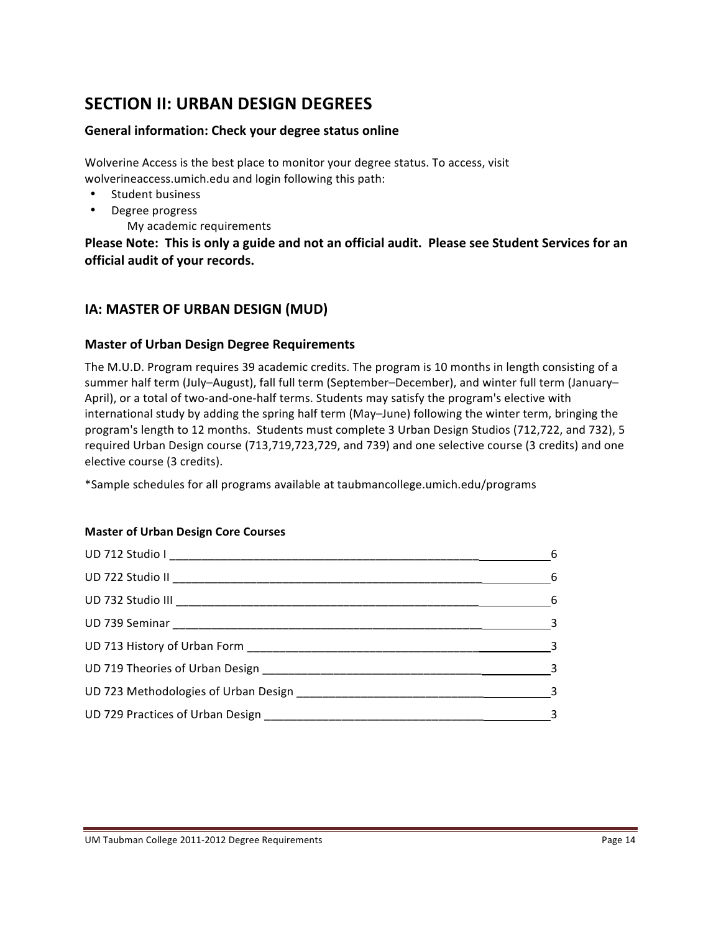# **SECTION II: URBAN DESIGN DEGREES**

## **General information: Check your degree status online**

Wolverine Access is the best place to monitor your degree status. To access, visit wolverineaccess.umich.edu and login following this path:

- Student business
- Degree progress
	- My academic requirements

Please Note: This is only a guide and not an official audit. Please see Student Services for an **official audit of your records.** 

# **IA: MASTER OF URBAN DESIGN (MUD)**

## **Master of Urban Design Degree Requirements**

The M.U.D. Program requires 39 academic credits. The program is 10 months in length consisting of a summer half term (July–August), fall full term (September–December), and winter full term (January– April), or a total of two-and-one-half terms. Students may satisfy the program's elective with international study by adding the spring half term (May–June) following the winter term, bringing the program's length to 12 months. Students must complete 3 Urban Design Studios (712,722, and 732), 5 required Urban Design course (713,719,723,729, and 739) and one selective course (3 credits) and one elective course (3 credits).

\*Sample schedules for all programs available at taubmancollege.umich.edu/programs

## **Master of Urban Design Core Courses**

| $6\overline{6}$                         |
|-----------------------------------------|
| $6\overline{6}$                         |
| $\begin{array}{c c} \hline \end{array}$ |
| $\overline{\phantom{a}}$ 3              |
| $\sim$ 3                                |
| $\overline{\phantom{a}}$                |
|                                         |
|                                         |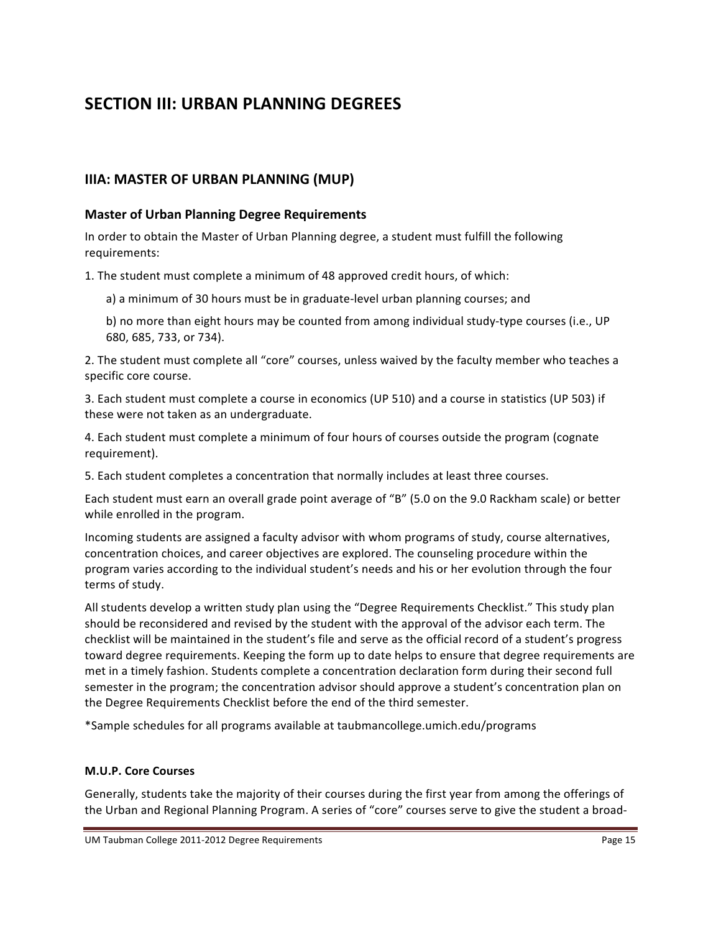# **SECTION III: URBAN PLANNING DEGREES**

# **IIIA: MASTER OF URBAN PLANNING (MUP)**

### **Master of Urban Planning Degree Requirements**

In order to obtain the Master of Urban Planning degree, a student must fulfill the following requirements:

1. The student must complete a minimum of 48 approved credit hours, of which:

a) a minimum of 30 hours must be in graduate-level urban planning courses; and

b) no more than eight hours may be counted from among individual study-type courses (i.e., UP 680, 685, 733, or 734).

2. The student must complete all "core" courses, unless waived by the faculty member who teaches a specific core course.

3. Each student must complete a course in economics (UP 510) and a course in statistics (UP 503) if these were not taken as an undergraduate.

4. Each student must complete a minimum of four hours of courses outside the program (cognate requirement).

5. Each student completes a concentration that normally includes at least three courses.

Each student must earn an overall grade point average of "B" (5.0 on the 9.0 Rackham scale) or better while enrolled in the program.

Incoming students are assigned a faculty advisor with whom programs of study, course alternatives, concentration choices, and career objectives are explored. The counseling procedure within the program varies according to the individual student's needs and his or her evolution through the four terms of study.

All students develop a written study plan using the "Degree Requirements Checklist." This study plan should be reconsidered and revised by the student with the approval of the advisor each term. The checklist will be maintained in the student's file and serve as the official record of a student's progress toward degree requirements. Keeping the form up to date helps to ensure that degree requirements are met in a timely fashion. Students complete a concentration declaration form during their second full semester in the program; the concentration advisor should approve a student's concentration plan on the Degree Requirements Checklist before the end of the third semester.

\*Sample#schedules#for#all#programs#available#at#taubmancollege.umich.edu/programs

#### **M.U.P. Core Courses**

Generally, students take the majority of their courses during the first year from among the offerings of the Urban and Regional Planning Program. A series of "core" courses serve to give the student a broad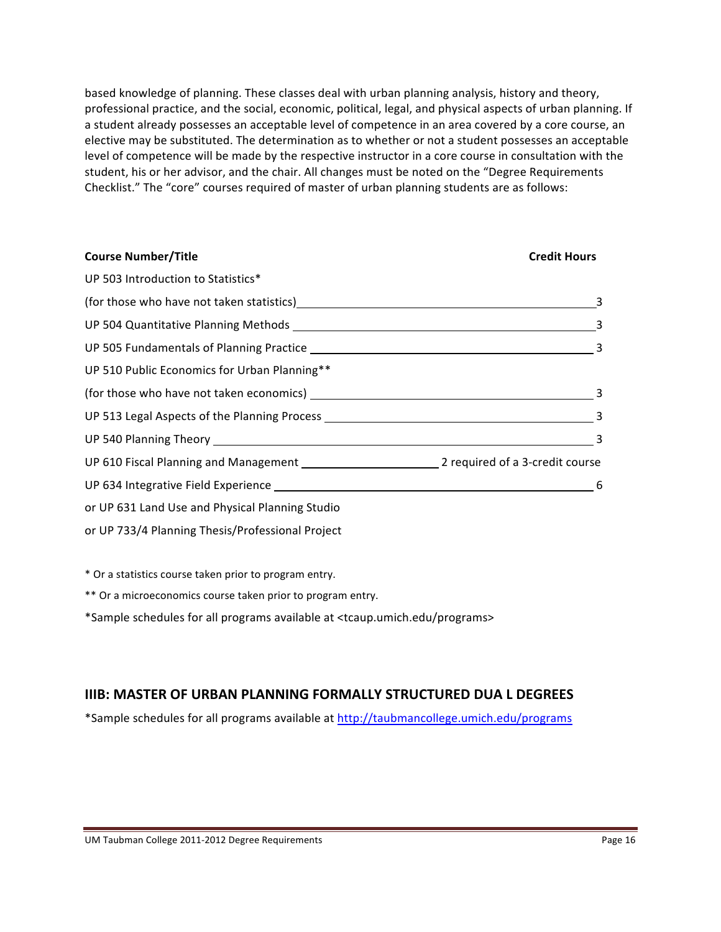based knowledge of planning. These classes deal with urban planning analysis, history and theory, professional practice, and the social, economic, political, legal, and physical aspects of urban planning. If a student already possesses an acceptable level of competence in an area covered by a core course, an elective may be substituted. The determination as to whether or not a student possesses an acceptable level of competence will be made by the respective instructor in a core course in consultation with the student, his or her advisor, and the chair. All changes must be noted on the "Degree Requirements Checklist." The "core" courses required of master of urban planning students are as follows:

| <b>Course Number/Title</b>                       | <b>Credit Hours</b>        |
|--------------------------------------------------|----------------------------|
| UP 503 Introduction to Statistics*               |                            |
|                                                  |                            |
|                                                  |                            |
|                                                  |                            |
| UP 510 Public Economics for Urban Planning**     |                            |
|                                                  |                            |
|                                                  |                            |
|                                                  | $\overline{\phantom{a}}$ 3 |
|                                                  |                            |
|                                                  | -6                         |
| or UP 631 Land Use and Physical Planning Studio  |                            |
| or UP 733/4 Planning Thesis/Professional Project |                            |

\* Or a statistics course taken prior to program entry.

\*\* Or a microeconomics course taken prior to program entry.

\*Sample schedules for all programs available at <tcaup.umich.edu/programs>

# **IIIB: MASTER OF URBAN PLANNING FORMALLY STRUCTURED DUA L DEGREES**

\*Sample schedules for all programs available at http://taubmancollege.umich.edu/programs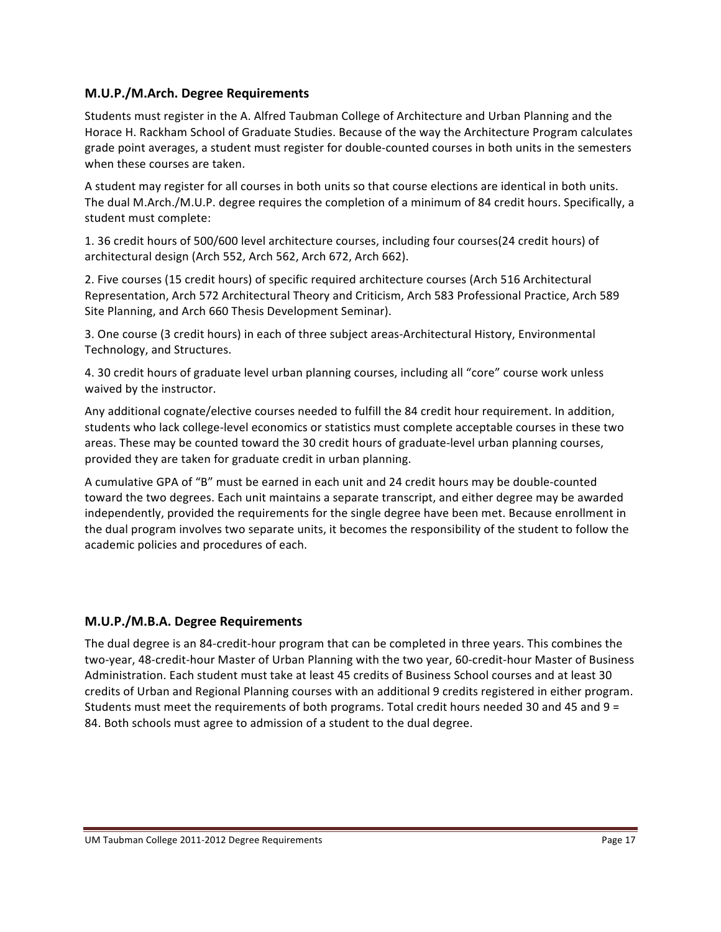### **M.U.P./M.Arch. Degree Requirements**

Students must register in the A. Alfred Taubman College of Architecture and Urban Planning and the Horace H. Rackham School of Graduate Studies. Because of the way the Architecture Program calculates grade point averages, a student must register for double-counted courses in both units in the semesters when these courses are taken.

A student may register for all courses in both units so that course elections are identical in both units. The dual M.Arch./M.U.P. degree requires the completion of a minimum of 84 credit hours. Specifically, a student must complete:

1. 36 credit hours of 500/600 level architecture courses, including four courses(24 credit hours) of architectural design (Arch 552, Arch 562, Arch 672, Arch 662).

2. Five courses (15 credit hours) of specific required architecture courses (Arch 516 Architectural Representation, Arch 572 Architectural Theory and Criticism, Arch 583 Professional Practice, Arch 589 Site Planning, and Arch 660 Thesis Development Seminar).

3. One course (3 credit hours) in each of three subject areas-Architectural History, Environmental Technology, and Structures.

4. 30 credit hours of graduate level urban planning courses, including all "core" course work unless waived by the instructor.

Any additional cognate/elective courses needed to fulfill the 84 credit hour requirement. In addition, students who lack college-level economics or statistics must complete acceptable courses in these two areas. These may be counted toward the 30 credit hours of graduate-level urban planning courses, provided they are taken for graduate credit in urban planning.

A cumulative GPA of "B" must be earned in each unit and 24 credit hours may be double-counted toward the two degrees. Each unit maintains a separate transcript, and either degree may be awarded independently, provided the requirements for the single degree have been met. Because enrollment in the dual program involves two separate units, it becomes the responsibility of the student to follow the academic policies and procedures of each.

## **M.U.P./M.B.A.!Degree!Requirements**

The dual degree is an 84-credit-hour program that can be completed in three years. This combines the two-year, 48-credit-hour Master of Urban Planning with the two year, 60-credit-hour Master of Business Administration. Each student must take at least 45 credits of Business School courses and at least 30 credits of Urban and Regional Planning courses with an additional 9 credits registered in either program. Students must meet the requirements of both programs. Total credit hours needed 30 and 45 and 9 = 84. Both schools must agree to admission of a student to the dual degree.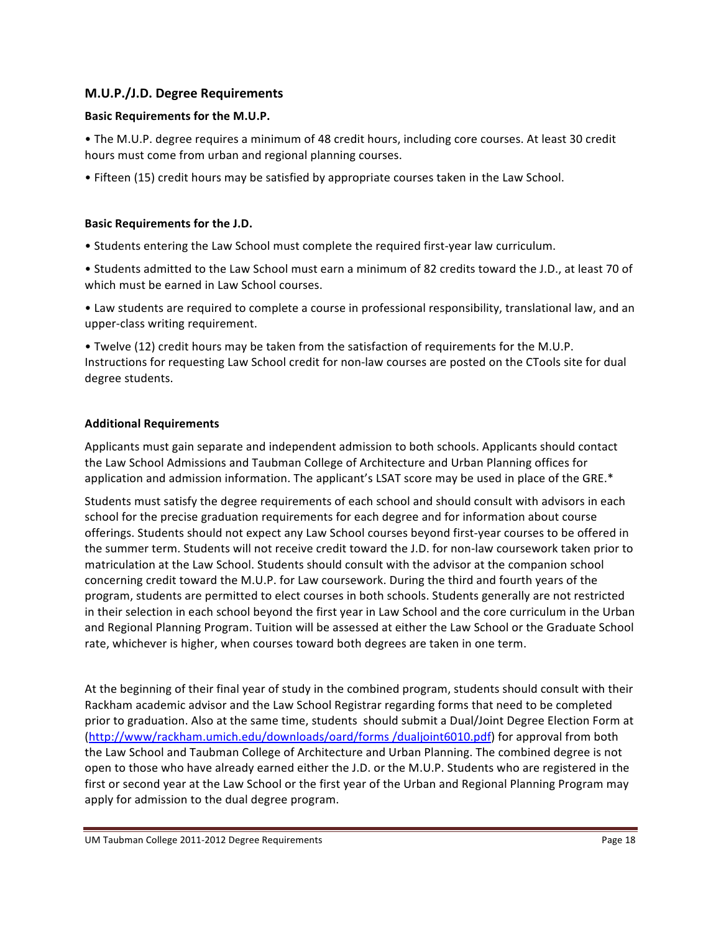## **M.U.P./J.D.!Degree!Requirements**

#### **Basic Requirements for the M.U.P.**

• The M.U.P. degree requires a minimum of 48 credit hours, including core courses. At least 30 credit hours must come from urban and regional planning courses.

• Fifteen (15) credit hours may be satisfied by appropriate courses taken in the Law School.

#### **Basic Requirements for the J.D.**

• Students entering the Law School must complete the required first-year law curriculum.

• Students admitted to the Law School must earn a minimum of 82 credits toward the J.D., at least 70 of which must be earned in Law School courses.

• Law students are required to complete a course in professional responsibility, translational law, and an upper-class writing requirement.

• Twelve (12) credit hours may be taken from the satisfaction of requirements for the M.U.P. Instructions for requesting Law School credit for non-law courses are posted on the CTools site for dual degree students.

#### **Additional!Requirements**

Applicants must gain separate and independent admission to both schools. Applicants should contact the Law School Admissions and Taubman College of Architecture and Urban Planning offices for application and admission information. The applicant's LSAT score may be used in place of the GRE.\*

Students must satisfy the degree requirements of each school and should consult with advisors in each school for the precise graduation requirements for each degree and for information about course offerings. Students should not expect any Law School courses beyond first-year courses to be offered in the summer term. Students will not receive credit toward the J.D. for non-law coursework taken prior to matriculation at the Law School. Students should consult with the advisor at the companion school concerning credit toward the M.U.P. for Law coursework. During the third and fourth years of the program, students are permitted to elect courses in both schools. Students generally are not restricted in their selection in each school beyond the first year in Law School and the core curriculum in the Urban and Regional Planning Program. Tuition will be assessed at either the Law School or the Graduate School rate, whichever is higher, when courses toward both degrees are taken in one term.

At the beginning of their final year of study in the combined program, students should consult with their Rackham academic advisor and the Law School Registrar regarding forms that need to be completed prior to graduation. Also at the same time, students should submit a Dual/Joint Degree Election Form at (http://www/rackham.umich.edu/downloads/oard/forms /dualjoint6010.pdf) for approval from both the Law School and Taubman College of Architecture and Urban Planning. The combined degree is not open to those who have already earned either the J.D. or the M.U.P. Students who are registered in the first or second year at the Law School or the first year of the Urban and Regional Planning Program may apply for admission to the dual degree program.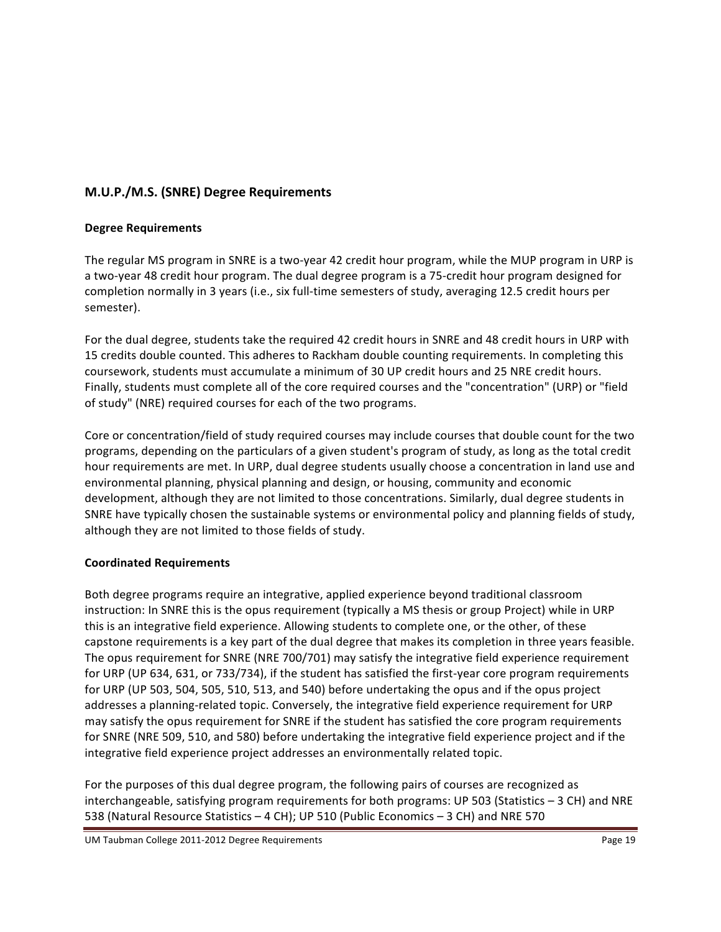## **M.U.P./M.S.!(SNRE)!Degree!Requirements**

#### **Degree Requirements**

The regular MS program in SNRE is a two-year 42 credit hour program, while the MUP program in URP is a two-year 48 credit hour program. The dual degree program is a 75-credit hour program designed for completion normally in 3 years (i.e., six full-time semesters of study, averaging 12.5 credit hours per semester).

For the dual degree, students take the required 42 credit hours in SNRE and 48 credit hours in URP with the S 15 credits double counted. This adheres to Rackham double counting requirements. In completing this coursework, students must accumulate a minimum of 30 UP credit hours and 25 NRE credit hours. Finally, students must complete all of the core required courses and the "concentration" (URP) or "field of study" (NRE) required courses for each of the two programs.

Core or concentration/field of study required courses may include courses that double count for the two programs, depending on the particulars of a given student's program of study, as long as the total credit hour requirements are met. In URP, dual degree students usually choose a concentration in land use and environmental planning, physical planning and design, or housing, community and economic development, although they are not limited to those concentrations. Similarly, dual degree students in SNRE have typically chosen the sustainable systems or environmental policy and planning fields of study, although they are not limited to those fields of study.

## **Coordinated!Requirements**

Both degree programs require an integrative, applied experience beyond traditional classroom instruction: In SNRE this is the opus requirement (typically a MS thesis or group Project) while in URP this is an integrative field experience. Allowing students to complete one, or the other, of these capstone requirements is a key part of the dual degree that makes its completion in three years feasible. The opus requirement for SNRE (NRE 700/701) may satisfy the integrative field experience requirement for URP (UP 634, 631, or 733/734), if the student has satisfied the first-year core program requirements for URP (UP 503, 504, 505, 510, 513, and 540) before undertaking the opus and if the opus project addresses a planning-related topic. Conversely, the integrative field experience requirement for URP may satisfy the opus requirement for SNRE if the student has satisfied the core program requirements for SNRE (NRE 509, 510, and 580) before undertaking the integrative field experience project and if the integrative field experience project addresses an environmentally related topic.

For the purposes of this dual degree program, the following pairs of courses are recognized as interchangeable, satisfying program requirements for both programs: UP 503 (Statistics – 3 CH) and NRE 538 (Natural Resource Statistics – 4 CH); UP 510 (Public Economics – 3 CH) and NRE 570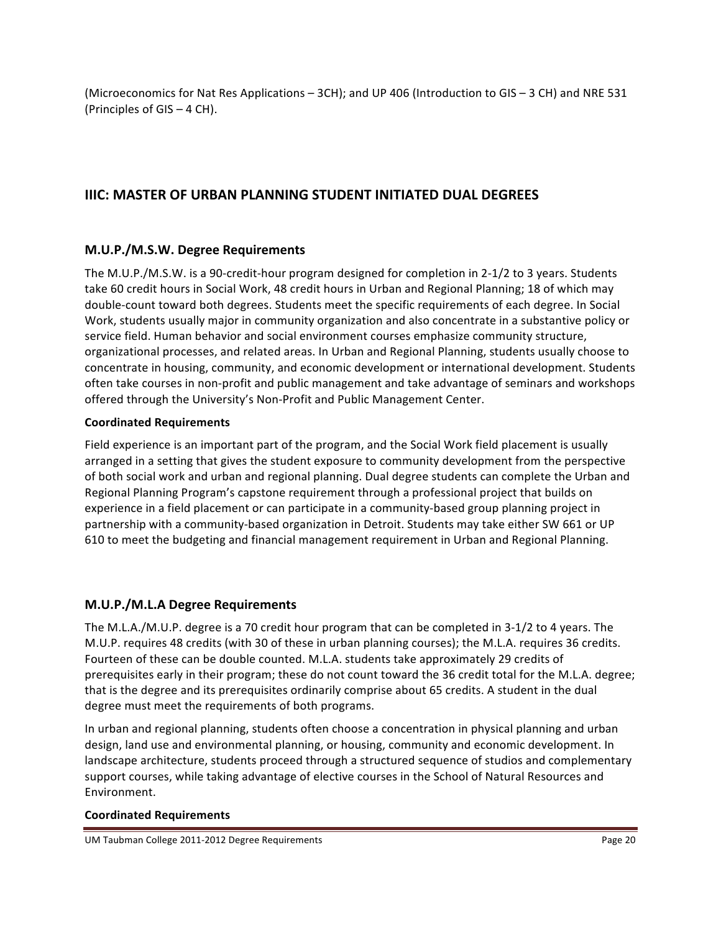(Microeconomics for Nat Res Applications – 3CH); and UP 406 (Introduction to GIS – 3 CH) and NRE 531 (Principles of GIS – 4 CH).

# **IIIC: MASTER OF URBAN PLANNING STUDENT INITIATED DUAL DEGREES**

## **M.U.P./M.S.W.!Degree!Requirements**

The M.U.P./M.S.W. is a 90-credit-hour program designed for completion in 2-1/2 to 3 years. Students take 60 credit hours in Social Work, 48 credit hours in Urban and Regional Planning; 18 of which may double-count toward both degrees. Students meet the specific requirements of each degree. In Social Work, students usually major in community organization and also concentrate in a substantive policy or service field. Human behavior and social environment courses emphasize community structure, organizational processes, and related areas. In Urban and Regional Planning, students usually choose to concentrate in housing, community, and economic development or international development. Students often take courses in non-profit and public management and take advantage of seminars and workshops offered through the University's Non-Profit and Public Management Center.

### **Coordinated!Requirements**

Field experience is an important part of the program, and the Social Work field placement is usually arranged in a setting that gives the student exposure to community development from the perspective of both social work and urban and regional planning. Dual degree students can complete the Urban and Regional Planning Program's capstone requirement through a professional project that builds on experience in a field placement or can participate in a community-based group planning project in partnership with a community-based organization in Detroit. Students may take either SW 661 or UP 610 to meet the budgeting and financial management requirement in Urban and Regional Planning.

## **M.U.P./M.L.A!Degree!Requirements**

The M.L.A./M.U.P. degree is a 70 credit hour program that can be completed in 3-1/2 to 4 years. The M.U.P. requires 48 credits (with 30 of these in urban planning courses); the M.L.A. requires 36 credits. Fourteen of these can be double counted. M.L.A. students take approximately 29 credits of prerequisites early in their program; these do not count toward the 36 credit total for the M.L.A. degree; that is the degree and its prerequisites ordinarily comprise about 65 credits. A student in the dual degree must meet the requirements of both programs.

In urban and regional planning, students often choose a concentration in physical planning and urban design, land use and environmental planning, or housing, community and economic development. In landscape architecture, students proceed through a structured sequence of studios and complementary support courses, while taking advantage of elective courses in the School of Natural Resources and Environment.

## **Coordinated!Requirements**

UM Taubman College 2011-2012 Degree Requirements **Page 20** and the College 20 and the Page 20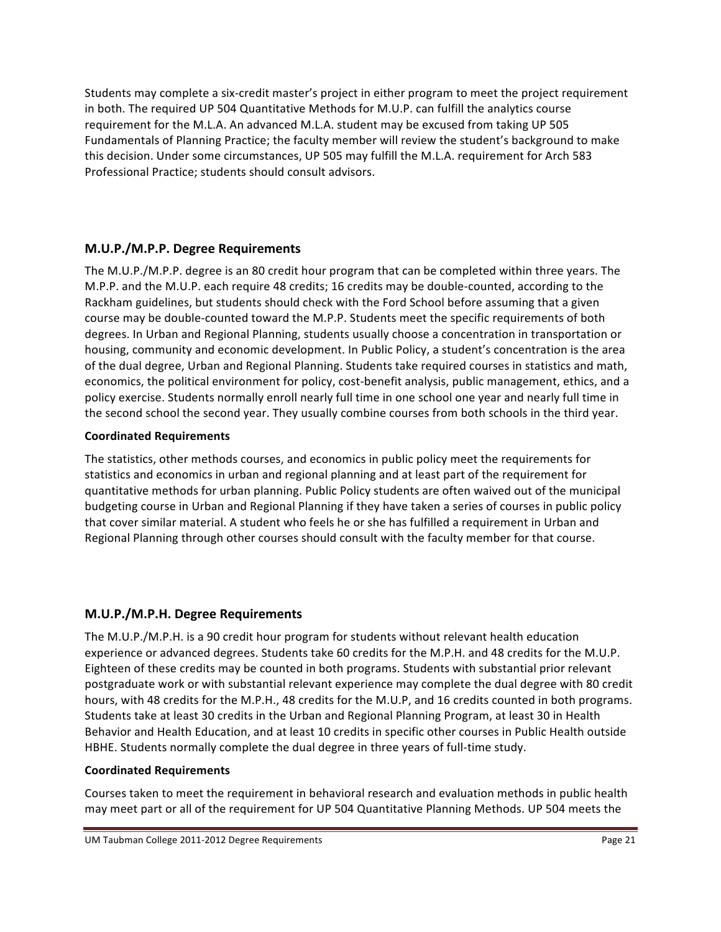Students may complete a six-credit master's project in either program to meet the project requirement in both. The required UP 504 Quantitative Methods for M.U.P. can fulfill the analytics course requirement for the M.L.A. An advanced M.L.A. student may be excused from taking UP 505 Fundamentals of Planning Practice; the faculty member will review the student's background to make this decision. Under some circumstances, UP 505 may fulfill the M.L.A. requirement for Arch 583 Professional Practice; students should consult advisors.

## **M.U.P./M.P.P.!Degree!Requirements**

The M.U.P./M.P.P. degree is an 80 credit hour program that can be completed within three years. The M.P.P. and the M.U.P. each require 48 credits; 16 credits may be double-counted, according to the Rackham guidelines, but students should check with the Ford School before assuming that a given course may be double-counted toward the M.P.P. Students meet the specific requirements of both degrees. In Urban and Regional Planning, students usually choose a concentration in transportation or housing, community and economic development. In Public Policy, a student's concentration is the area of the dual degree, Urban and Regional Planning. Students take required courses in statistics and math, economics, the political environment for policy, cost-benefit analysis, public management, ethics, and a policy exercise. Students normally enroll nearly full time in one school one year and nearly full time in the second school the second year. They usually combine courses from both schools in the third year.

## **Coordinated!Requirements**

The statistics, other methods courses, and economics in public policy meet the requirements for statistics and economics in urban and regional planning and at least part of the requirement for quantitative methods for urban planning. Public Policy students are often waived out of the municipal budgeting course in Urban and Regional Planning if they have taken a series of courses in public policy that cover similar material. A student who feels he or she has fulfilled a requirement in Urban and Regional Planning through other courses should consult with the faculty member for that course.

## **M.U.P./M.P.H.!Degree!Requirements**

The M.U.P./M.P.H. is a 90 credit hour program for students without relevant health education experience or advanced degrees. Students take 60 credits for the M.P.H. and 48 credits for the M.U.P. Eighteen of these credits may be counted in both programs. Students with substantial prior relevant postgraduate work or with substantial relevant experience may complete the dual degree with 80 credit hours, with 48 credits for the M.P.H., 48 credits for the M.U.P, and 16 credits counted in both programs. Students take at least 30 credits in the Urban and Regional Planning Program, at least 30 in Health Behavior and Health Education, and at least 10 credits in specific other courses in Public Health outside HBHE. Students normally complete the dual degree in three years of full-time study.

#### **Coordinated!Requirements**

Courses taken to meet the requirement in behavioral research and evaluation methods in public health may meet part or all of the requirement for UP 504 Quantitative Planning Methods. UP 504 meets the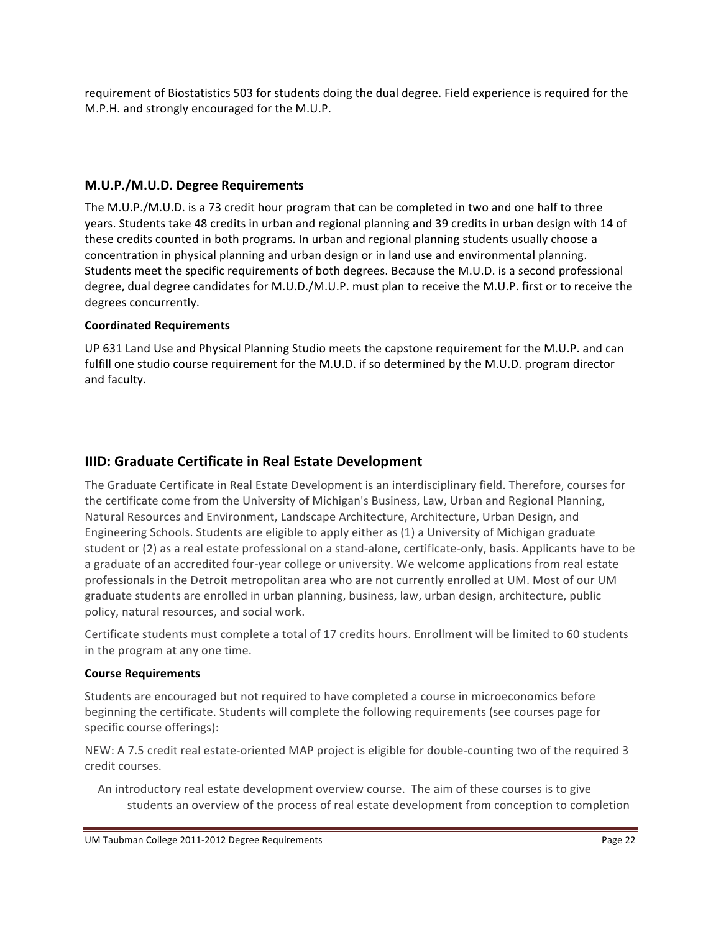requirement of Biostatistics 503 for students doing the dual degree. Field experience is required for the M.P.H. and strongly encouraged for the M.U.P.

## **M.U.P./M.U.D.!Degree!Requirements**

The M.U.P./M.U.D. is a 73 credit hour program that can be completed in two and one half to three years. Students take 48 credits in urban and regional planning and 39 credits in urban design with 14 of these credits counted in both programs. In urban and regional planning students usually choose a concentration in physical planning and urban design or in land use and environmental planning. Students meet the specific requirements of both degrees. Because the M.U.D. is a second professional degree, dual degree candidates for M.U.D./M.U.P. must plan to receive the M.U.P. first or to receive the degrees concurrently.

#### **Coordinated!Requirements**

UP 631 Land Use and Physical Planning Studio meets the capstone requirement for the M.U.P. and can fulfill one studio course requirement for the M.U.D. if so determined by the M.U.D. program director and faculty.

# **IIID: Graduate Certificate in Real Estate Development**

The Graduate Certificate in Real Estate Development is an interdisciplinary field. Therefore, courses for the certificate come from the University of Michigan's Business, Law, Urban and Regional Planning, Natural Resources and Environment, Landscape Architecture, Architecture, Urban Design, and Engineering Schools. Students are eligible to apply either as (1) a University of Michigan graduate student or (2) as a real estate professional on a stand-alone, certificate-only, basis. Applicants have to be a graduate of an accredited four-year college or university. We welcome applications from real estate professionals in the Detroit metropolitan area who are not currently enrolled at UM. Most of our UM graduate students are enrolled in urban planning, business, law, urban design, architecture, public policy, natural resources, and social work.

Certificate students must complete a total of 17 credits hours. Enrollment will be limited to 60 students in the program at any one time.

#### **Course!Requirements**

Students are encouraged but not required to have completed a course in microeconomics before beginning the certificate. Students will complete the following requirements (see courses page for specific course offerings):

NEW: A 7.5 credit real estate-oriented MAP project is eligible for double-counting two of the required 3 credit courses.

An introductory real estate development overview course. The aim of these courses is to give students an overview of the process of real estate development from conception to completion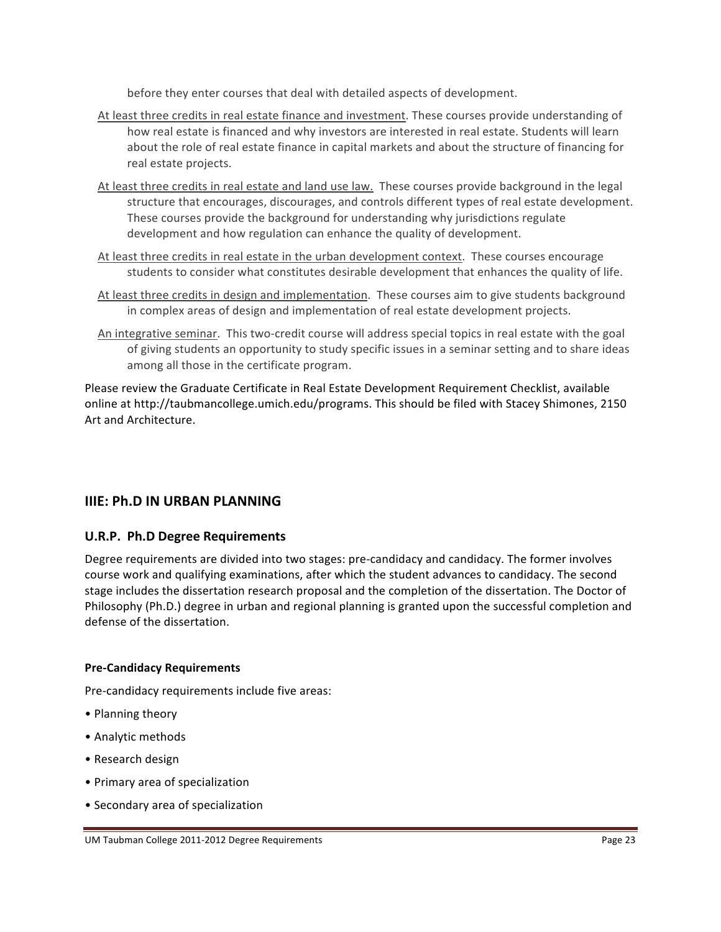before they enter courses that deal with detailed aspects of development.

- At least three credits in real estate finance and investment. These courses provide understanding of how real estate is financed and why investors are interested in real estate. Students will learn about the role of real estate finance in capital markets and about the structure of financing for real estate projects.
- At least three credits in real estate and land use law. These courses provide background in the legal structure that encourages, discourages, and controls different types of real estate development. These courses provide the background for understanding why jurisdictions regulate development and how regulation can enhance the quality of development.
- At least three credits in real estate in the urban development context. These courses encourage students to consider what constitutes desirable development that enhances the quality of life.
- At least three credits in design and implementation. These courses aim to give students background in complex areas of design and implementation of real estate development projects.
- An integrative seminar. This two-credit course will address special topics in real estate with the goal of giving students an opportunity to study specific issues in a seminar setting and to share ideas among all those in the certificate program.

Please review the Graduate Certificate in Real Estate Development Requirement Checklist, available online at http://taubmancollege.umich.edu/programs. This should be filed with Stacey Shimones, 2150 Art and Architecture.

# **IIIE: Ph.D IN URBAN PLANNING**

## **U.R.P. Ph.D Degree Requirements**

Degree requirements are divided into two stages: pre-candidacy and candidacy. The former involves course work and qualifying examinations, after which the student advances to candidacy. The second stage includes the dissertation research proposal and the completion of the dissertation. The Doctor of Philosophy (Ph.D.) degree in urban and regional planning is granted upon the successful completion and defense of the dissertation.

#### **Pre-Candidacy Requirements**

Pre-candidacy requirements include five areas:

- Planning theory
- Analytic methods
- Research design
- Primary area of specialization
- Secondary area of specialization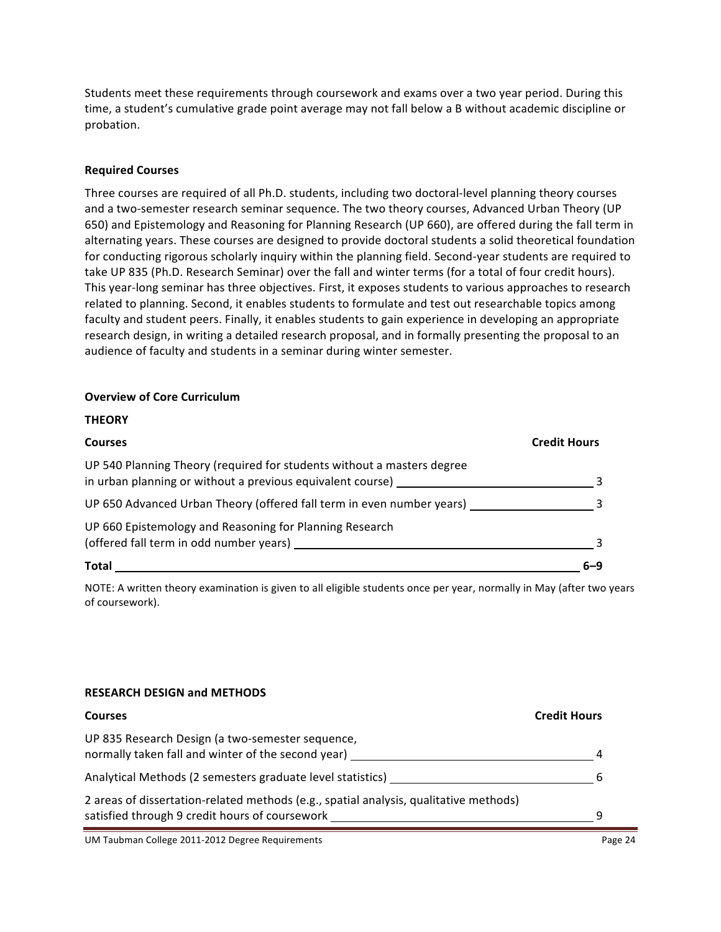Students meet these requirements through coursework and exams over a two year period. During this time, a student's cumulative grade point average may not fall below a B without academic discipline or probation.

#### **Required!Courses**

Three courses are required of all Ph.D. students, including two doctoral-level planning theory courses and a two-semester research seminar sequence. The two theory courses, Advanced Urban Theory (UP 650) and Epistemology and Reasoning for Planning Research (UP 660), are offered during the fall term in alternating years. These courses are designed to provide doctoral students a solid theoretical foundation for conducting rigorous scholarly inquiry within the planning field. Second-year students are required to take UP 835 (Ph.D. Research Seminar) over the fall and winter terms (for a total of four credit hours). This year-long seminar has three objectives. First, it exposes students to various approaches to research related to planning. Second, it enables students to formulate and test out researchable topics among faculty and student peers. Finally, it enables students to gain experience in developing an appropriate research design, in writing a detailed research proposal, and in formally presenting the proposal to an audience of faculty and students in a seminar during winter semester.

#### **Overview of Core Curriculum**

**THEORY**

| ,,,,,,,,                                                                                                                             |                     |
|--------------------------------------------------------------------------------------------------------------------------------------|---------------------|
| <b>Courses</b>                                                                                                                       | <b>Credit Hours</b> |
| UP 540 Planning Theory (required for students without a masters degree<br>in urban planning or without a previous equivalent course) |                     |
| UP 650 Advanced Urban Theory (offered fall term in even number years)                                                                |                     |
| UP 660 Epistemology and Reasoning for Planning Research<br>(offered fall term in odd number years)                                   |                     |
| Total                                                                                                                                |                     |

NOTE: A written theory examination is given to all eligible students once per year, normally in May (after two years of coursework).

#### **RESEARCH!DESIGN!and!METHODS**

| <b>Courses</b>                                                                                                                          | <b>Credit Hours</b> |
|-----------------------------------------------------------------------------------------------------------------------------------------|---------------------|
| UP 835 Research Design (a two-semester sequence,<br>normally taken fall and winter of the second year)                                  |                     |
| Analytical Methods (2 semesters graduate level statistics) ____                                                                         |                     |
| 2 areas of dissertation-related methods (e.g., spatial analysis, qualitative methods)<br>satisfied through 9 credit hours of coursework |                     |

UM Taubman College 2011-2012 Degree Requirements **Page 24** All 2012 of the Page 24 All 2012 of the Page 24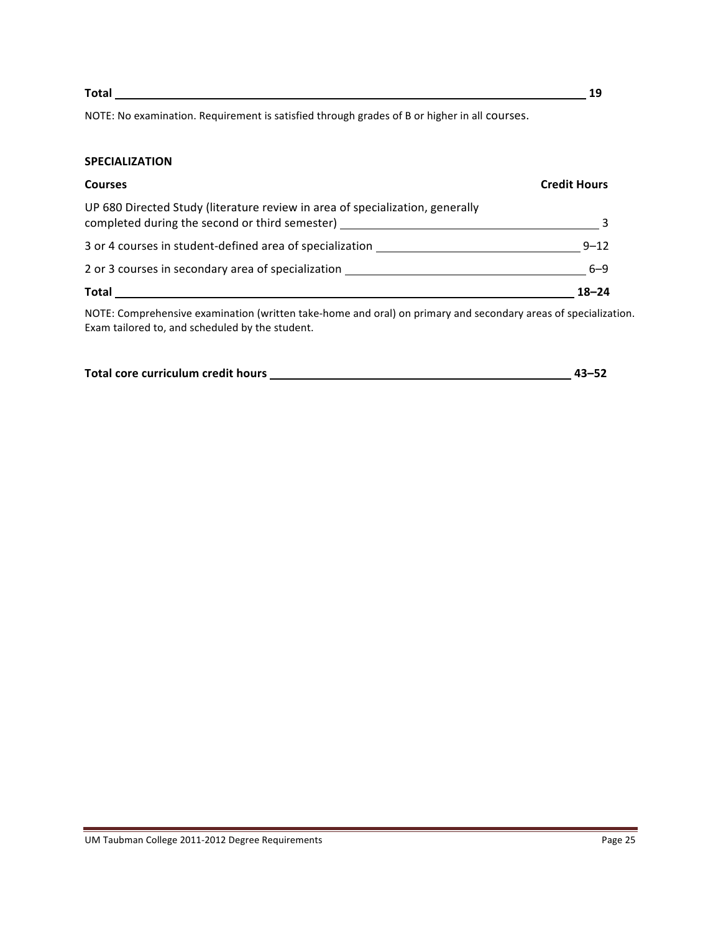**Total! !!!!!!!!!!! !19**

NOTE: No examination. Requirement is satisfied through grades of B or higher in all courses.

#### **SPECIALIZATION**

| <b>Courses</b>                                                                | <b>Credit Hours</b> |
|-------------------------------------------------------------------------------|---------------------|
| UP 680 Directed Study (literature review in area of specialization, generally |                     |
| 3 or 4 courses in student-defined area of specialization                      | $9 - 12$            |
| 2 or 3 courses in secondary area of specialization                            | $6 - 9$             |
| <b>Total</b>                                                                  | $18 - 24$           |

NOTE: Comprehensive examination (written take-home and oral) on primary and secondary areas of specialization. Exam tailored to, and scheduled by the student.

| Total core curriculum credit hours | $43 - 52$ |
|------------------------------------|-----------|
|                                    |           |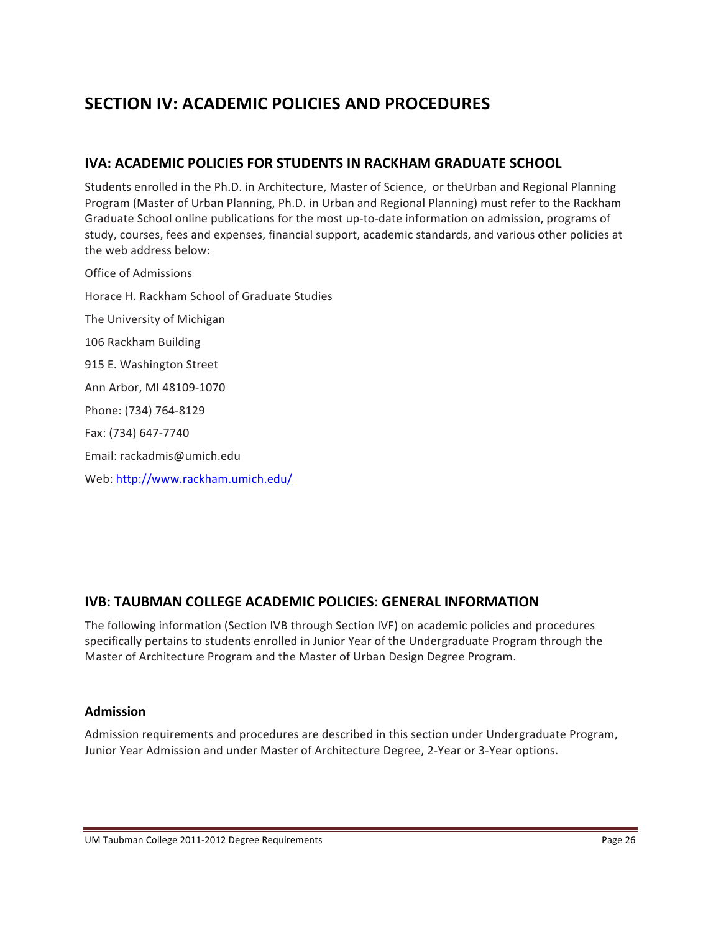# **SECTION IV: ACADEMIC POLICIES AND PROCEDURES**

# **IVA: ACADEMIC POLICIES FOR STUDENTS IN RACKHAM GRADUATE SCHOOL**

Students enrolled in the Ph.D. in Architecture, Master of Science, or theUrban and Regional Planning Program (Master of Urban Planning, Ph.D. in Urban and Regional Planning) must refer to the Rackham Graduate School online publications for the most up-to-date information on admission, programs of study, courses, fees and expenses, financial support, academic standards, and various other policies at the web address below:

Office of Admissions Horace H. Rackham School of Graduate Studies The University of Michigan 106 Rackham Building 915 E. Washington Street Ann Arbor, MI 48109-1070 Phone: (734) 764-8129 Fax: (734) 647-7740 Email:#rackadmis@umich.edu# Web: http://www.rackham.umich.edu/

# **IVB: TAUBMAN COLLEGE ACADEMIC POLICIES: GENERAL INFORMATION**

The following information (Section IVB through Section IVF) on academic policies and procedures specifically pertains to students enrolled in Junior Year of the Undergraduate Program through the Master of Architecture Program and the Master of Urban Design Degree Program.

## **Admission**

Admission requirements and procedures are described in this section under Undergraduate Program, Junior Year Admission and under Master of Architecture Degree, 2-Year or 3-Year options.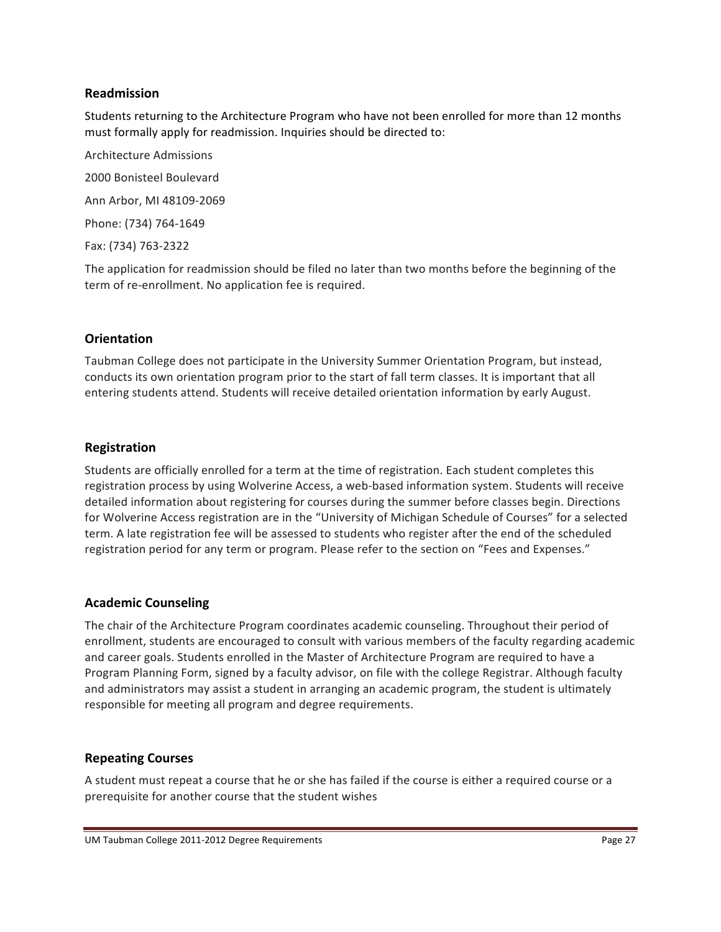### **Readmission**

Students returning to the Architecture Program who have not been enrolled for more than 12 months must formally apply for readmission. Inquiries should be directed to:

Architecture#Admissions 2000 Bonisteel Boulevard Ann Arbor, MI 48109-2069 Phone: (734) 764-1649 Fax: (734) 763-2322

The application for readmission should be filed no later than two months before the beginning of the term of re-enrollment. No application fee is required.

## **Orientation**

Taubman College does not participate in the University Summer Orientation Program, but instead, conducts its own orientation program prior to the start of fall term classes. It is important that all entering students attend. Students will receive detailed orientation information by early August.

### **Registration**

Students are officially enrolled for a term at the time of registration. Each student completes this registration process by using Wolverine Access, a web-based information system. Students will receive detailed information about registering for courses during the summer before classes begin. Directions for Wolverine Access registration are in the "University of Michigan Schedule of Courses" for a selected term. A late registration fee will be assessed to students who register after the end of the scheduled registration period for any term or program. Please refer to the section on "Fees and Expenses."

## **Academic!Counseling**

The chair of the Architecture Program coordinates academic counseling. Throughout their period of enrollment, students are encouraged to consult with various members of the faculty regarding academic and career goals. Students enrolled in the Master of Architecture Program are required to have a Program Planning Form, signed by a faculty advisor, on file with the college Registrar. Although faculty and administrators may assist a student in arranging an academic program, the student is ultimately responsible for meeting all program and degree requirements.

#### **Repeating!Courses**

A student must repeat a course that he or she has failed if the course is either a required course or a prerequisite for another course that the student wishes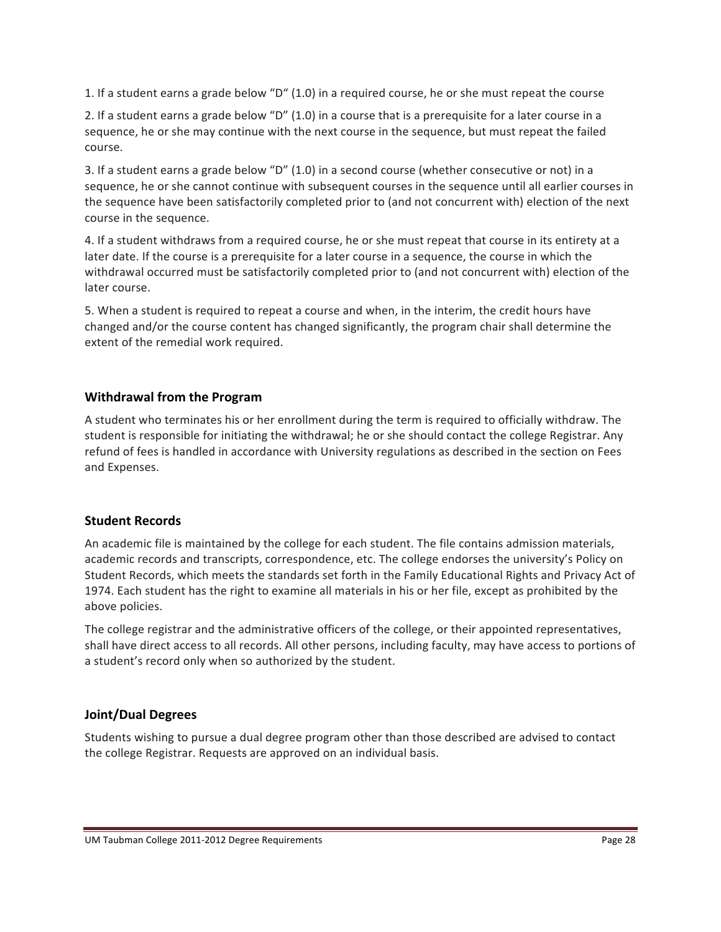1. If a student earns a grade below "D" (1.0) in a required course, he or she must repeat the course

2. If a student earns a grade below "D" (1.0) in a course that is a prerequisite for a later course in a sequence, he or she may continue with the next course in the sequence, but must repeat the failed course.

3. If a student earns a grade below "D" (1.0) in a second course (whether consecutive or not) in a sequence, he or she cannot continue with subsequent courses in the sequence until all earlier courses in the sequence have been satisfactorily completed prior to (and not concurrent with) election of the next course in the sequence.

4. If a student withdraws from a required course, he or she must repeat that course in its entirety at a later date. If the course is a prerequisite for a later course in a sequence, the course in which the withdrawal occurred must be satisfactorily completed prior to (and not concurrent with) election of the later course.

5. When a student is required to repeat a course and when, in the interim, the credit hours have changed and/or the course content has changed significantly, the program chair shall determine the extent of the remedial work required.

## **Withdrawal from the Program**

A student who terminates his or her enrollment during the term is required to officially withdraw. The student is responsible for initiating the withdrawal; he or she should contact the college Registrar. Any refund of fees is handled in accordance with University regulations as described in the section on Fees and Expenses.

#### **Student!Records**

An academic file is maintained by the college for each student. The file contains admission materials, academic records and transcripts, correspondence, etc. The college endorses the university's Policy on Student Records, which meets the standards set forth in the Family Educational Rights and Privacy Act of 1974. Each student has the right to examine all materials in his or her file, except as prohibited by the above policies.

The college registrar and the administrative officers of the college, or their appointed representatives, shall have direct access to all records. All other persons, including faculty, may have access to portions of a student's record only when so authorized by the student.

## **Joint/Dual!Degrees**

Students wishing to pursue a dual degree program other than those described are advised to contact the college Registrar. Requests are approved on an individual basis.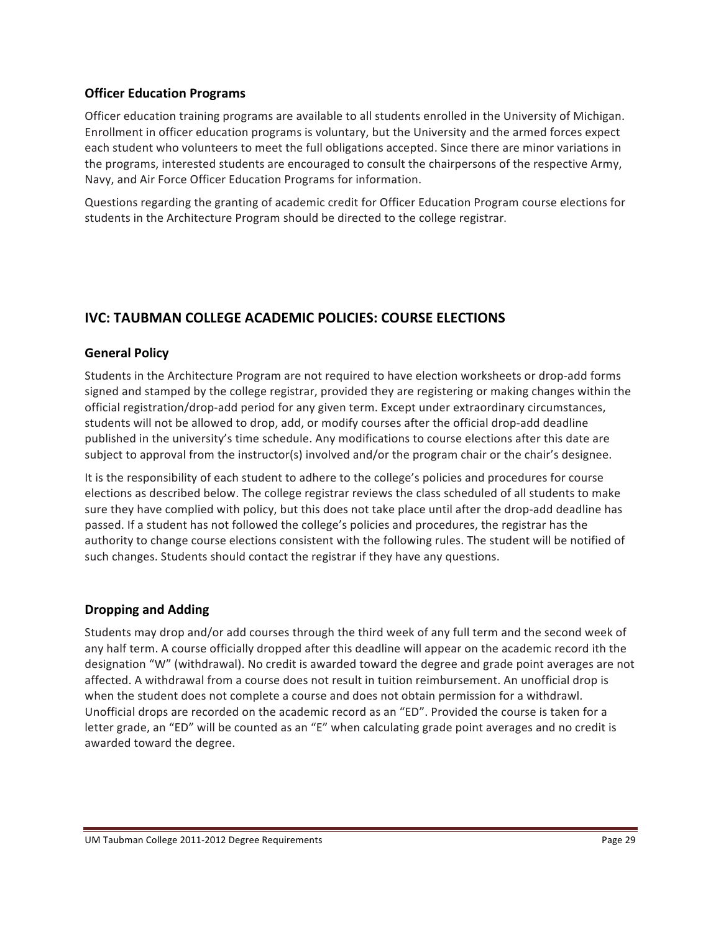### **Officer Education Programs**

Officer education training programs are available to all students enrolled in the University of Michigan. Enrollment in officer education programs is voluntary, but the University and the armed forces expect each student who volunteers to meet the full obligations accepted. Since there are minor variations in the programs, interested students are encouraged to consult the chairpersons of the respective Army, Navy, and Air Force Officer Education Programs for information.

Questions regarding the granting of academic credit for Officer Education Program course elections for students in the Architecture Program should be directed to the college registrar.

# **IVC: TAUBMAN COLLEGE ACADEMIC POLICIES: COURSE ELECTIONS**

## **General Policy**

Students in the Architecture Program are not required to have election worksheets or drop-add forms signed and stamped by the college registrar, provided they are registering or making changes within the official registration/drop-add period for any given term. Except under extraordinary circumstances, students will not be allowed to drop, add, or modify courses after the official drop-add deadline published in the university's time schedule. Any modifications to course elections after this date are subject to approval from the instructor(s) involved and/or the program chair or the chair's designee.

It is the responsibility of each student to adhere to the college's policies and procedures for course elections as described below. The college registrar reviews the class scheduled of all students to make sure they have complied with policy, but this does not take place until after the drop-add deadline has passed. If a student has not followed the college's policies and procedures, the registrar has the authority to change course elections consistent with the following rules. The student will be notified of such changes. Students should contact the registrar if they have any questions.

## **Dropping!and!Adding**

Students may drop and/or add courses through the third week of any full term and the second week of any half term. A course officially dropped after this deadline will appear on the academic record ith the designation "W" (withdrawal). No credit is awarded toward the degree and grade point averages are not affected. A withdrawal from a course does not result in tuition reimbursement. An unofficial drop is when the student does not complete a course and does not obtain permission for a withdrawl. Unofficial drops are recorded on the academic record as an "ED". Provided the course is taken for a letter grade, an "ED" will be counted as an "E" when calculating grade point averages and no credit is awarded toward the degree.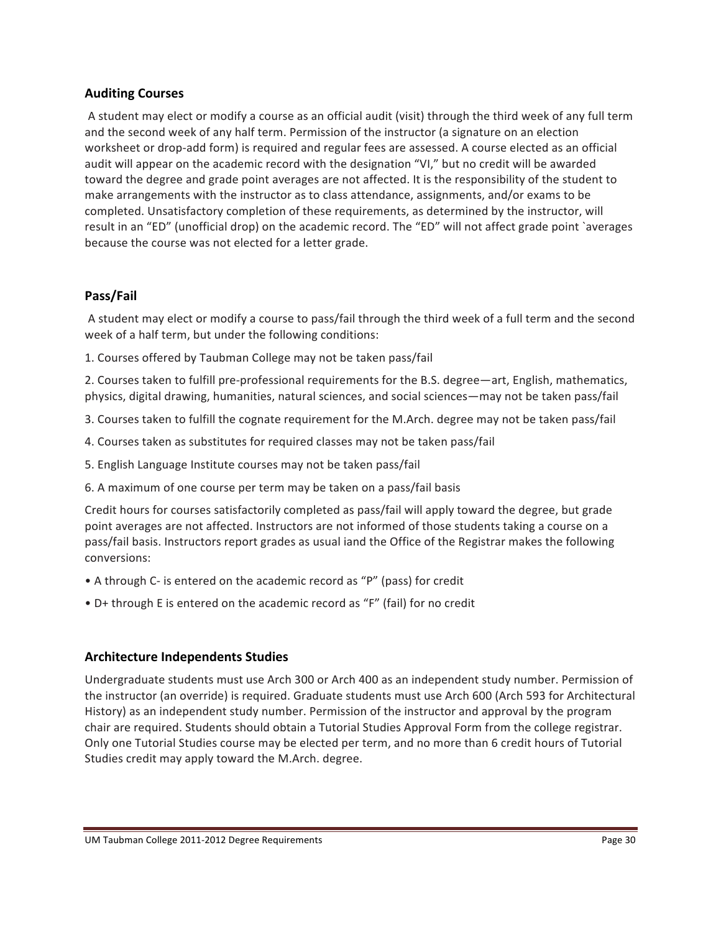### **Auditing!Courses**

A student may elect or modify a course as an official audit (visit) through the third week of any full term and the second week of any half term. Permission of the instructor (a signature on an election worksheet or drop-add form) is required and regular fees are assessed. A course elected as an official audit will appear on the academic record with the designation "VI," but no credit will be awarded toward the degree and grade point averages are not affected. It is the responsibility of the student to make arrangements with the instructor as to class attendance, assignments, and/or exams to be completed. Unsatisfactory completion of these requirements, as determined by the instructor, will result in an "ED" (unofficial drop) on the academic record. The "ED" will not affect grade point `averages because the course was not elected for a letter grade.

### **Pass/Fail**

A student may elect or modify a course to pass/fail through the third week of a full term and the second week of a half term, but under the following conditions:

1. Courses offered by Taubman College may not be taken pass/fail

2. Courses taken to fulfill pre-professional requirements for the B.S. degree—art, English, mathematics, physics, digital drawing, humanities, natural sciences, and social sciences—may not be taken pass/fail

- 3. Courses taken to fulfill the cognate requirement for the M.Arch. degree may not be taken pass/fail
- 4. Courses taken as substitutes for required classes may not be taken pass/fail
- 5. English Language Institute courses may not be taken pass/fail
- 6. A maximum of one course per term may be taken on a pass/fail basis

Credit hours for courses satisfactorily completed as pass/fail will apply toward the degree, but grade point averages are not affected. Instructors are not informed of those students taking a course on a pass/fail basis. Instructors report grades as usual iand the Office of the Registrar makes the following conversions:

- A through C- is entered on the academic record as "P" (pass) for credit
- D+ through E is entered on the academic record as "F" (fail) for no credit

#### **Architecture Independents Studies**

Undergraduate students must use Arch 300 or Arch 400 as an independent study number. Permission of the instructor (an override) is required. Graduate students must use Arch 600 (Arch 593 for Architectural History) as an independent study number. Permission of the instructor and approval by the program chair are required. Students should obtain a Tutorial Studies Approval Form from the college registrar. Only one Tutorial Studies course may be elected per term, and no more than 6 credit hours of Tutorial Studies credit may apply toward the M.Arch. degree.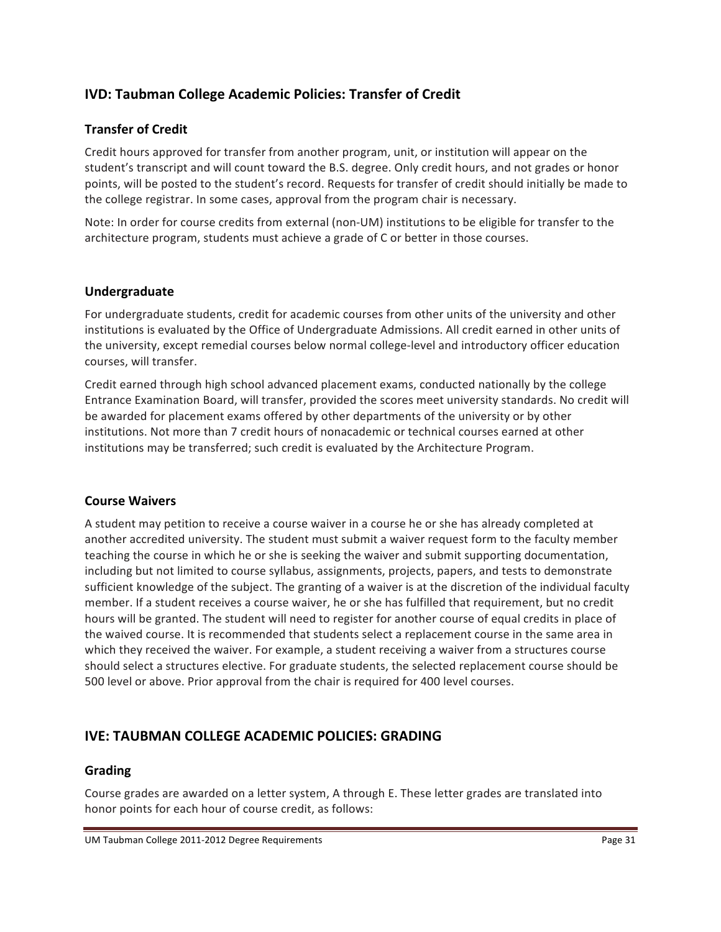# **IVD: Taubman College Academic Policies: Transfer of Credit**

## **Transfer of Credit**

Credit hours approved for transfer from another program, unit, or institution will appear on the student's transcript and will count toward the B.S. degree. Only credit hours, and not grades or honor points, will be posted to the student's record. Requests for transfer of credit should initially be made to the college registrar. In some cases, approval from the program chair is necessary.

Note: In order for course credits from external (non-UM) institutions to be eligible for transfer to the architecture program, students must achieve a grade of C or better in those courses.

### **Undergraduate**

For undergraduate students, credit for academic courses from other units of the university and other institutions is evaluated by the Office of Undergraduate Admissions. All credit earned in other units of the university, except remedial courses below normal college-level and introductory officer education courses, will transfer.

Credit earned through high school advanced placement exams, conducted nationally by the college Entrance Examination Board, will transfer, provided the scores meet university standards. No credit will be awarded for placement exams offered by other departments of the university or by other institutions. Not more than 7 credit hours of nonacademic or technical courses earned at other institutions may be transferred; such credit is evaluated by the Architecture Program.

#### **Course!Waivers**

A student may petition to receive a course waiver in a course he or she has already completed at another accredited university. The student must submit a waiver request form to the faculty member teaching the course in which he or she is seeking the waiver and submit supporting documentation, including but not limited to course syllabus, assignments, projects, papers, and tests to demonstrate sufficient knowledge of the subject. The granting of a waiver is at the discretion of the individual faculty member. If a student receives a course waiver, he or she has fulfilled that requirement, but no credit hours will be granted. The student will need to register for another course of equal credits in place of the waived course. It is recommended that students select a replacement course in the same area in which they received the waiver. For example, a student receiving a waiver from a structures course should select a structures elective. For graduate students, the selected replacement course should be 500 level or above. Prior approval from the chair is required for 400 level courses.

# **IVE: TAUBMAN COLLEGE ACADEMIC POLICIES: GRADING**

#### **Grading**

Course grades are awarded on a letter system, A through E. These letter grades are translated into honor points for each hour of course credit, as follows: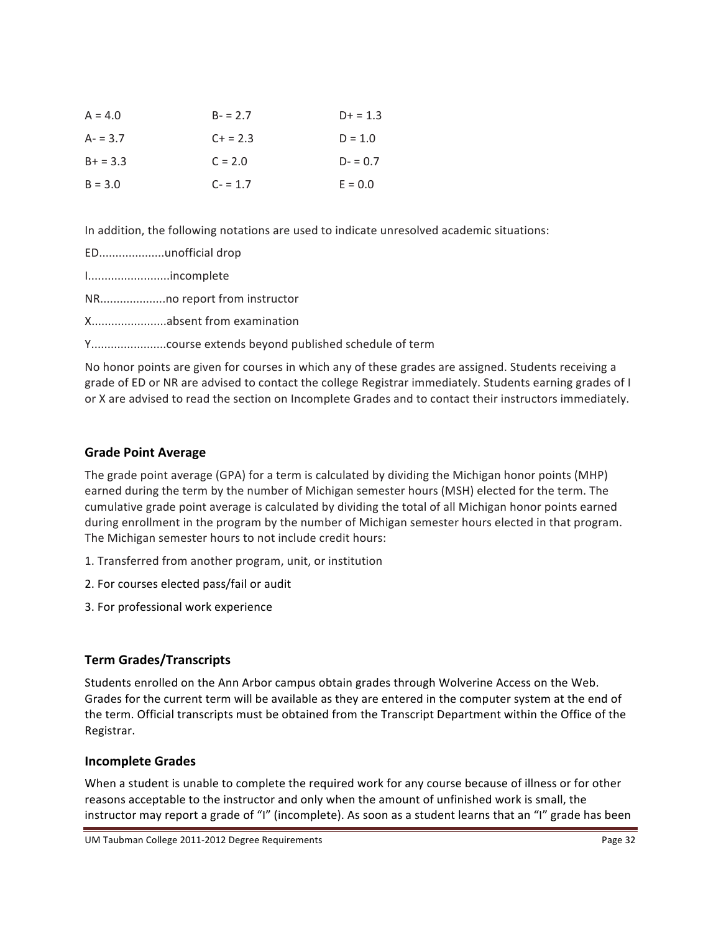| $A = 4.0$   | $B - 2.7$ | $D+ = 1.3$ |
|-------------|-----------|------------|
| $A - 3.7$   | $C + 2.3$ | $D = 1.0$  |
| $B + = 3.3$ | $C = 2.0$ | $D - 0.7$  |
| $B = 3.0$   | $C - 1.7$ | $E = 0.0$  |

In addition, the following notations are used to indicate unresolved academic situations:

|             | EDunofficial drop        |
|-------------|--------------------------|
| Iincomplete |                          |
|             |                          |
|             | Xabsent from examination |
|             |                          |
|             |                          |

No honor points are given for courses in which any of these grades are assigned. Students receiving a grade of ED or NR are advised to contact the college Registrar immediately. Students earning grades of I or X are advised to read the section on Incomplete Grades and to contact their instructors immediately.

# **Grade!Point!Average**

The grade point average (GPA) for a term is calculated by dividing the Michigan honor points (MHP) earned during the term by the number of Michigan semester hours (MSH) elected for the term. The cumulative grade point average is calculated by dividing the total of all Michigan honor points earned during enrollment in the program by the number of Michigan semester hours elected in that program. The Michigan semester hours to not include credit hours:

- 1. Transferred from another program, unit, or institution
- 2. For courses elected pass/fail or audit
- 3. For professional work experience

# **Term!Grades/Transcripts**

Students enrolled on the Ann Arbor campus obtain grades through Wolverine Access on the Web. Grades for the current term will be available as they are entered in the computer system at the end of the term. Official transcripts must be obtained from the Transcript Department within the Office of the Registrar.

## **Incomplete!Grades**

When a student is unable to complete the required work for any course because of illness or for other reasons acceptable to the instructor and only when the amount of unfinished work is small, the instructor may report a grade of "I" (incomplete). As soon as a student learns that an "I" grade has been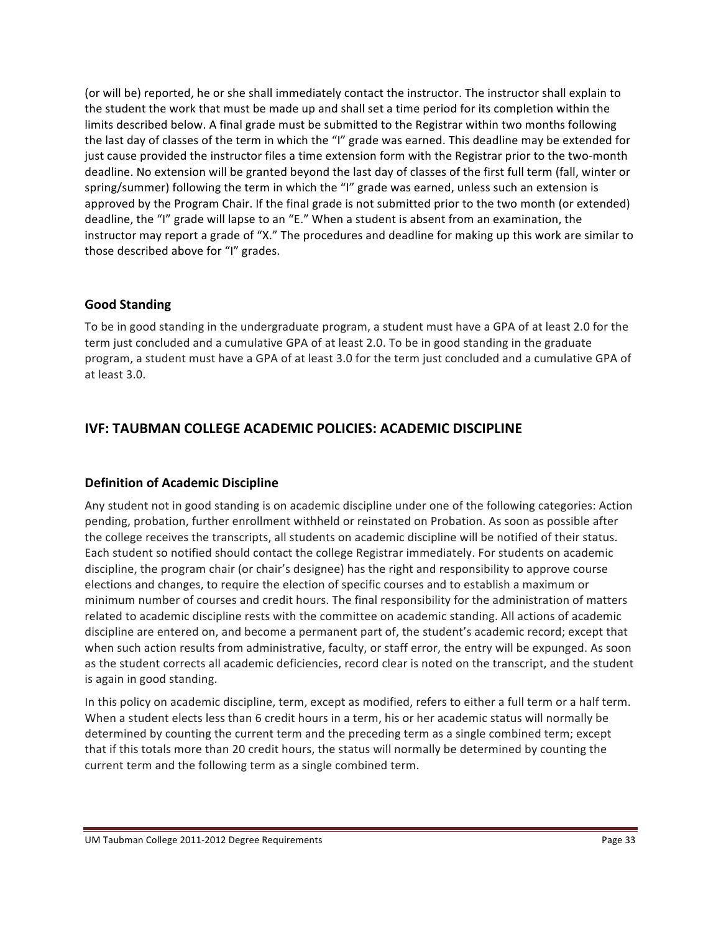(or will be) reported, he or she shall immediately contact the instructor. The instructor shall explain to the student the work that must be made up and shall set a time period for its completion within the limits described below. A final grade must be submitted to the Registrar within two months following the last day of classes of the term in which the "I" grade was earned. This deadline may be extended for just cause provided the instructor files a time extension form with the Registrar prior to the two-month deadline. No extension will be granted beyond the last day of classes of the first full term (fall, winter or spring/summer) following the term in which the "I" grade was earned, unless such an extension is approved by the Program Chair. If the final grade is not submitted prior to the two month (or extended) deadline, the "I" grade will lapse to an "E." When a student is absent from an examination, the instructor may report a grade of "X." The procedures and deadline for making up this work are similar to those described above for "I" grades.

### **Good!Standing**

To be in good standing in the undergraduate program, a student must have a GPA of at least 2.0 for the term just concluded and a cumulative GPA of at least 2.0. To be in good standing in the graduate program, a student must have a GPA of at least 3.0 for the term just concluded and a cumulative GPA of at least 3.0.

# **IVF: TAUBMAN COLLEGE ACADEMIC POLICIES: ACADEMIC DISCIPLINE**

## **Definition of Academic Discipline**

Any student not in good standing is on academic discipline under one of the following categories: Action pending, probation, further enrollment withheld or reinstated on Probation. As soon as possible after the college receives the transcripts, all students on academic discipline will be notified of their status. Each student so notified should contact the college Registrar immediately. For students on academic discipline, the program chair (or chair's designee) has the right and responsibility to approve course elections and changes, to require the election of specific courses and to establish a maximum or minimum number of courses and credit hours. The final responsibility for the administration of matters related to academic discipline rests with the committee on academic standing. All actions of academic discipline are entered on, and become a permanent part of, the student's academic record; except that when such action results from administrative, faculty, or staff error, the entry will be expunged. As soon as the student corrects all academic deficiencies, record clear is noted on the transcript, and the student is again in good standing.

In this policy on academic discipline, term, except as modified, refers to either a full term or a half term. When a student elects less than 6 credit hours in a term, his or her academic status will normally be determined by counting the current term and the preceding term as a single combined term; except that if this totals more than 20 credit hours, the status will normally be determined by counting the current term and the following term as a single combined term.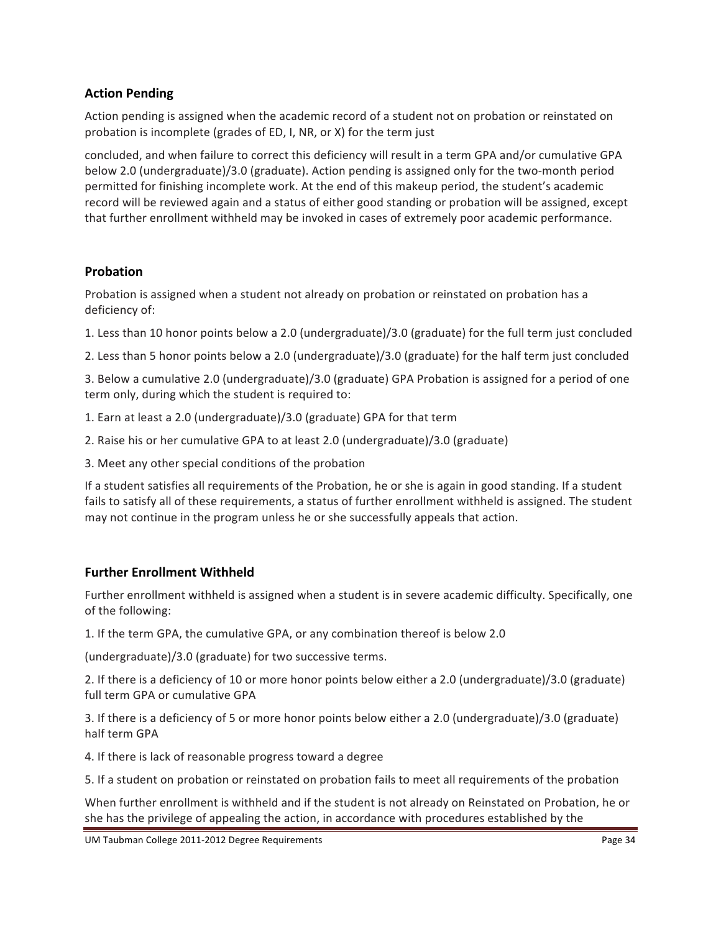## **Action Pending**

Action pending is assigned when the academic record of a student not on probation or reinstated on probation is incomplete (grades of ED, I, NR, or X) for the term just

concluded, and when failure to correct this deficiency will result in a term GPA and/or cumulative GPA below 2.0 (undergraduate)/3.0 (graduate). Action pending is assigned only for the two-month period permitted for finishing incomplete work. At the end of this makeup period, the student's academic record will be reviewed again and a status of either good standing or probation will be assigned, except that further enrollment withheld may be invoked in cases of extremely poor academic performance.

## **Probation**

Probation is assigned when a student not already on probation or reinstated on probation has a deficiency of:

1. Less than 10 honor points below a 2.0 (undergraduate)/3.0 (graduate) for the full term just concluded

2. Less than 5 honor points below a 2.0 (undergraduate)/3.0 (graduate) for the half term just concluded

3. Below a cumulative 2.0 (undergraduate)/3.0 (graduate) GPA Probation is assigned for a period of one term only, during which the student is required to:

- 1. Earn at least a 2.0 (undergraduate)/3.0 (graduate) GPA for that term
- 2. Raise his or her cumulative GPA to at least 2.0 (undergraduate)/3.0 (graduate)
- 3. Meet any other special conditions of the probation

If a student satisfies all requirements of the Probation, he or she is again in good standing. If a student fails to satisfy all of these requirements, a status of further enrollment withheld is assigned. The student may not continue in the program unless he or she successfully appeals that action.

## **Further Enrollment Withheld**

Further enrollment withheld is assigned when a student is in severe academic difficulty. Specifically, one of the following:

1. If the term GPA, the cumulative GPA, or any combination thereof is below 2.0

(undergraduate)/3.0 (graduate) for two successive terms.

2. If there is a deficiency of 10 or more honor points below either a 2.0 (undergraduate)/3.0 (graduate) full term GPA or cumulative GPA

3. If there is a deficiency of 5 or more honor points below either a 2.0 (undergraduate)/3.0 (graduate) half term GPA

4. If there is lack of reasonable progress toward a degree

5. If a student on probation or reinstated on probation fails to meet all requirements of the probation

When further enrollment is withheld and if the student is not already on Reinstated on Probation, he or she has the privilege of appealing the action, in accordance with procedures established by the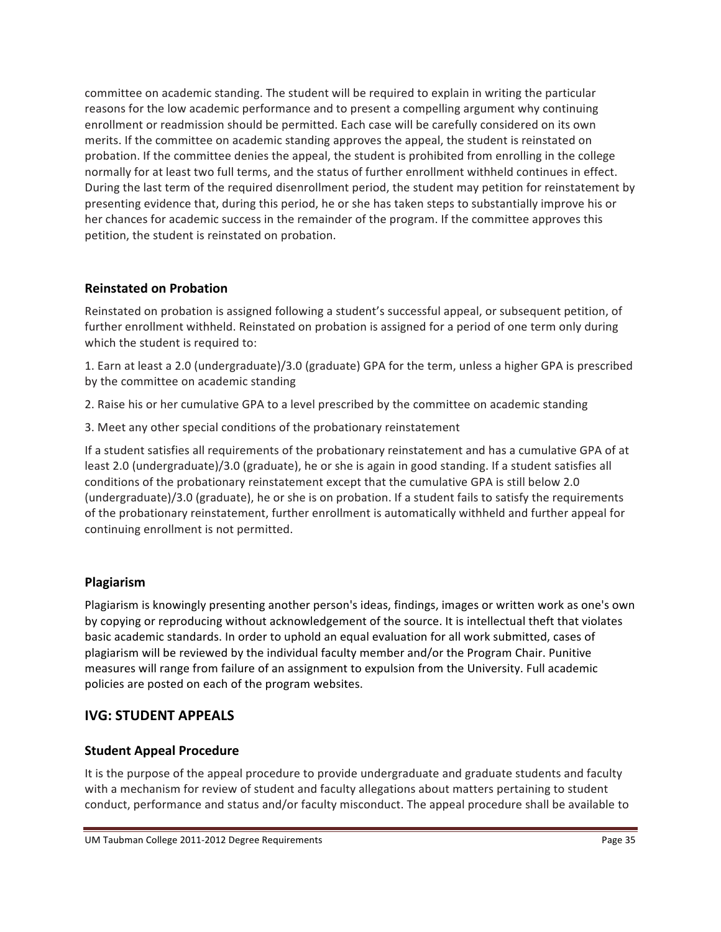committee on academic standing. The student will be required to explain in writing the particular reasons for the low academic performance and to present a compelling argument why continuing enrollment or readmission should be permitted. Each case will be carefully considered on its own merits. If the committee on academic standing approves the appeal, the student is reinstated on probation. If the committee denies the appeal, the student is prohibited from enrolling in the college normally for at least two full terms, and the status of further enrollment withheld continues in effect. During the last term of the required disenrollment period, the student may petition for reinstatement by presenting evidence that, during this period, he or she has taken steps to substantially improve his or her chances for academic success in the remainder of the program. If the committee approves this petition, the student is reinstated on probation.

# **Reinstated!on!Probation**

Reinstated on probation is assigned following a student's successful appeal, or subsequent petition, of further enrollment withheld. Reinstated on probation is assigned for a period of one term only during which the student is required to:

1. Earn at least a 2.0 (undergraduate)/3.0 (graduate) GPA for the term, unless a higher GPA is prescribed by the committee on academic standing

- 2. Raise his or her cumulative GPA to a level prescribed by the committee on academic standing
- 3. Meet any other special conditions of the probationary reinstatement

If a student satisfies all requirements of the probationary reinstatement and has a cumulative GPA of at least 2.0 (undergraduate)/3.0 (graduate), he or she is again in good standing. If a student satisfies all conditions of the probationary reinstatement except that the cumulative GPA is still below 2.0 (undergraduate)/3.0 (graduate), he or she is on probation. If a student fails to satisfy the requirements of the probationary reinstatement, further enrollment is automatically withheld and further appeal for continuing enrollment is not permitted.

# **Plagiarism**

Plagiarism is knowingly presenting another person's ideas, findings, images or written work as one's own by copying or reproducing without acknowledgement of the source. It is intellectual theft that violates basic academic standards. In order to uphold an equal evaluation for all work submitted, cases of plagiarism will be reviewed by the individual faculty member and/or the Program Chair. Punitive measures will range from failure of an assignment to expulsion from the University. Full academic policies are posted on each of the program websites.

# **IVG: STUDENT APPEALS**

# **Student Appeal Procedure**

It is the purpose of the appeal procedure to provide undergraduate and graduate students and faculty with a mechanism for review of student and faculty allegations about matters pertaining to student conduct, performance and status and/or faculty misconduct. The appeal procedure shall be available to